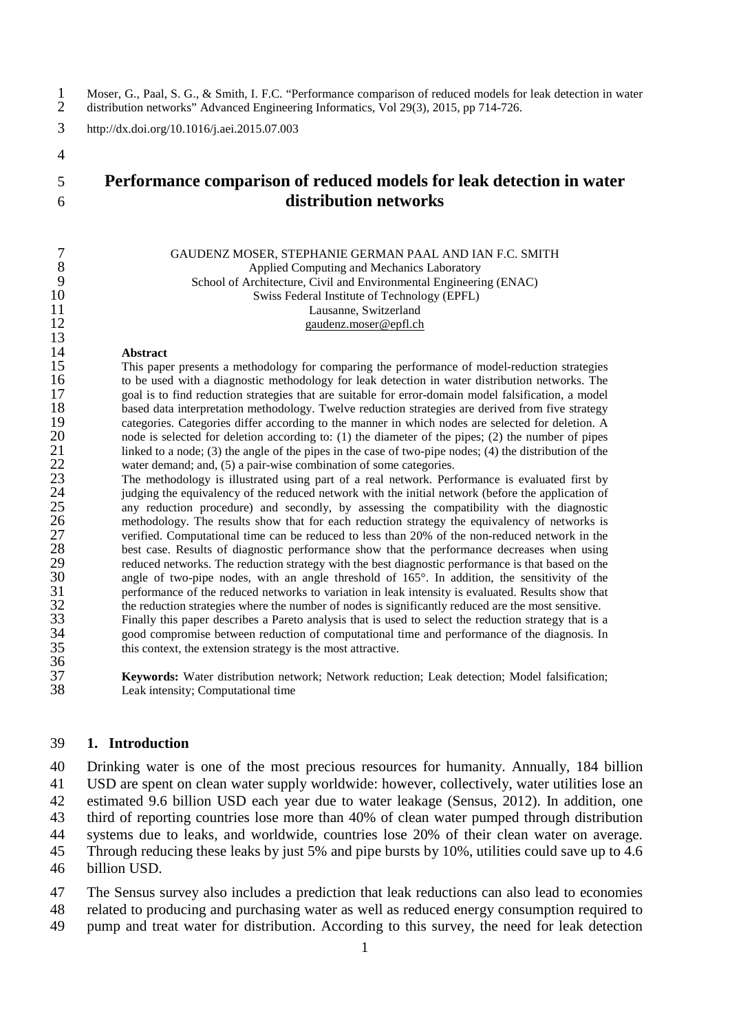1 Moser, G., Paal, S. G., & Smith, I. F.C. "Performance comparison of reduced models for leak detection in water<br>2 distribution networks" Advanced Engineering Informatics. Vol 29(3), 2015, pp 714-726. 2 distribution networks" Advanced Engineering Informatics, Vol 29(3), 2015, pp 714-726.

3 http://dx.doi.org/10.1016/j.aei.2015.07.003

4

13

36<br>37

# 5 **Performance comparison of reduced models for leak detection in water**  6 **distribution networks**

|    | GAUDENZ MOSER, STEPHANIE GERMAN PAAL AND IAN F.C. SMITH            |
|----|--------------------------------------------------------------------|
|    | Applied Computing and Mechanics Laboratory                         |
|    | School of Architecture, Civil and Environmental Engineering (ENAC) |
| 10 | Swiss Federal Institute of Technology (EPFL)                       |
| 11 | Lausanne, Switzerland                                              |
| 12 | gaudenz.moser@epfl.ch                                              |

14 **Abstract**<br>15 This pape 15 This paper presents a methodology for comparing the performance of model-reduction strategies to be used with a diagnostic methodology for leak detection in water distribution networks. The 16 to be used with a diagnostic methodology for leak detection in water distribution networks. The spall is to find reduction strategies that are suitable for error-domain model falsification, a model 17 goal is to find reduction strategies that are suitable for error-domain model falsification, a model<br>18 based data interpretation methodology. Twelve reduction strategies are derived from five strategy 18 based data interpretation methodology. Twelve reduction strategies are derived from five strategy categories. Categories differ according to the manner in which nodes are selected for deletion. A 19 categories. Categories differ according to the manner in which nodes are selected for deletion. A<br>20 node is selected for deletion according to: (1) the diameter of the pipes: (2) the number of pipes 20 node is selected for deletion according to: (1) the diameter of the pipes; (2) the number of pipes 21 linked to a node; (3) the angle of the pipes in the case of two-pipe nodes; (4) the distribution of the 21 linked to a node; (3) the angle of the pipes in the case of two-pipe nodes; (4) the distribution of the value of some categories. 22 water demand; and, (5) a pair-wise combination of some categories.<br>23 The methodology is illustrated using part of a real network. Per

23 The methodology is illustrated using part of a real network. Performance is evaluated first by judging the equivalency of the reduced network with the initial network (before the application of 24 judging the equivalency of the reduced network with the initial network (before the application of any reduction procedure) and secondly, by assessing the compatibility with the diagnostic 25 any reduction procedure) and secondly, by assessing the compatibility with the diagnostic<br>26 methodology. The results show that for each reduction strategy the equivalency of networks is 26 methodology. The results show that for each reduction strategy the equivalency of networks is verified. Computational time can be reduced to less than 20% of the non-reduced network in the 27 verified. Computational time can be reduced to less than 20% of the non-reduced network in the<br>28 best case. Results of diagnostic performance show that the performance decreases when using 28 best case. Results of diagnostic performance show that the performance decreases when using<br>29 reduced networks. The reduction strategy with the best diagnostic performance is that based on the 29 reduced networks. The reduction strategy with the best diagnostic performance is that based on the angle of two-pipe nodes, with an angle threshold of 165°. In addition, the sensitivity of the 30 angle of two-pipe nodes, with an angle threshold of 165°. In addition, the sensitivity of the performance of the reduced networks to variation in leak intensity is evaluated. Results show that 31 performance of the reduced networks to variation in leak intensity is evaluated. Results show that 32 the reduction strategies where the number of nodes is significantly reduced are the most sensitive. 32 the reduction strategies where the number of nodes is significantly reduced are the most sensitive.<br>33 Finally this paper describes a Pareto analysis that is used to select the reduction strategy that is 33 Finally this paper describes a Pareto analysis that is used to select the reduction strategy that is a good compromise between reduction of computational time and performance of the diagnosis. In 34 good compromise between reduction of computational time and performance of the diagnosis. In this context, the extension strategy is the most attractive. this context, the extension strategy is the most attractive.

37 **Keywords:** Water distribution network; Network reduction; Leak detection; Model falsification; Leak intensity; Computational time

## 39 **1. Introduction**

 Drinking water is one of the most precious resources for humanity. Annually, 184 billion USD are spent on clean water supply worldwide: however, collectively, water utilities lose an estimated 9.6 billion USD each year due to water leakage [\(Sensus, 2012\)](#page-24-0). In addition, one third of reporting countries lose more than 40% of clean water pumped through distribution systems due to leaks, and worldwide, countries lose 20% of their clean water on average. Through reducing these leaks by just 5% and pipe bursts by 10%, utilities could save up to 4.6

- 46 billion USD.
- 47 The Sensus survey also includes a prediction that leak reductions can also lead to economies 48 related to producing and purchasing water as well as reduced energy consumption required to
- 49 pump and treat water for distribution. According to this survey, the need for leak detection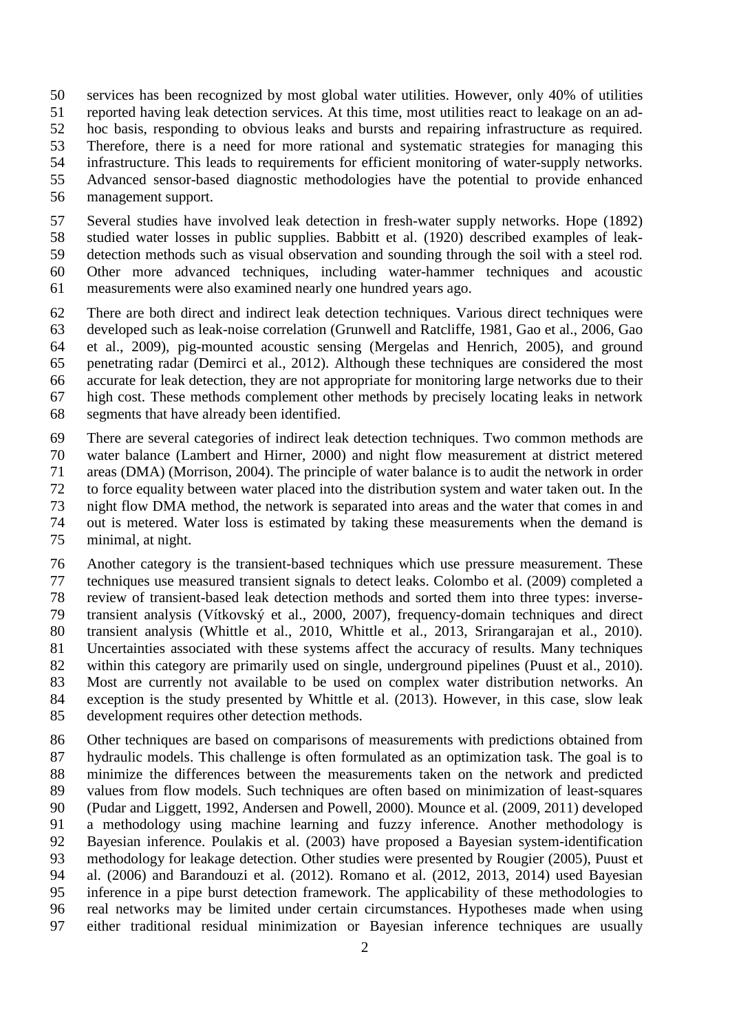services has been recognized by most global water utilities. However, only 40% of utilities reported having leak detection services. At this time, most utilities react to leakage on an ad- hoc basis, responding to obvious leaks and bursts and repairing infrastructure as required. Therefore, there is a need for more rational and systematic strategies for managing this infrastructure. This leads to requirements for efficient monitoring of water-supply networks. Advanced sensor-based diagnostic methodologies have the potential to provide enhanced management support.

 Several studies have involved leak detection in fresh-water supply networks. Hope [\(1892\)](#page-22-0) studied water losses in public supplies. Babbitt et al. [\(1920\)](#page-21-0) described examples of leak- detection methods such as visual observation and sounding through the soil with a steel rod. Other more advanced techniques, including water-hammer techniques and acoustic measurements were also examined nearly one hundred years ago.

 There are both direct and indirect leak detection techniques. Various direct techniques were developed such as leak-noise correlation [\(Grunwell and Ratcliffe, 1981,](#page-22-1) [Gao et al., 2006,](#page-21-1) [Gao](#page-21-2)  [et al., 2009\)](#page-21-2), pig-mounted acoustic sensing [\(Mergelas and Henrich, 2005\)](#page-22-2), and ground penetrating radar [\(Demirci et al., 2012\)](#page-21-3). Although these techniques are considered the most accurate for leak detection, they are not appropriate for monitoring large networks due to their high cost. These methods complement other methods by precisely locating leaks in network segments that have already been identified.

 There are several categories of indirect leak detection techniques. Two common methods are water balance [\(Lambert and Hirner, 2000\)](#page-22-3) and night flow measurement at district metered areas (DMA) [\(Morrison, 2004\)](#page-22-4). The principle of water balance is to audit the network in order to force equality between water placed into the distribution system and water taken out. In the night flow DMA method, the network is separated into areas and the water that comes in and out is metered. Water loss is estimated by taking these measurements when the demand is minimal, at night.

 Another category is the transient-based techniques which use pressure measurement. These techniques use measured transient signals to detect leaks. Colombo et al. [\(2009\)](#page-21-4) completed a review of transient-based leak detection methods and sorted them into three types: inverse- transient analysis [\(Vítkovský et al., 2000,](#page-24-1) [2007\)](#page-24-2), frequency-domain techniques and direct transient analysis [\(Whittle et al., 2010,](#page-24-3) [Whittle et al., 2013,](#page-24-4) [Srirangarajan et al., 2010\)](#page-24-5). Uncertainties associated with these systems affect the accuracy of results. Many techniques within this category are primarily used on single, underground pipelines [\(Puust et al., 2010\)](#page-23-0). Most are currently not available to be used on complex water distribution networks. An exception is the study presented by Whittle et al. [\(2013\)](#page-24-4). However, in this case, slow leak development requires other detection methods.

 Other techniques are based on comparisons of measurements with predictions obtained from hydraulic models. This challenge is often formulated as an optimization task. The goal is to minimize the differences between the measurements taken on the network and predicted values from flow models. Such techniques are often based on minimization of least-squares (Pudar and [Liggett, 1992,](#page-23-1) [Andersen and Powell, 2000\)](#page-21-5). Mounce et al. [\(2009,](#page-22-5) [2011\)](#page-22-6) developed a methodology using machine learning and fuzzy inference. Another methodology is Bayesian inference. Poulakis et al. [\(2003\)](#page-23-2) have proposed a Bayesian system-identification methodology for leakage detection. Other studies were presented by Rougier [\(2005\)](#page-24-6), Puust et al. [\(2006\)](#page-23-3) and Barandouzi et al. [\(2012\)](#page-21-6). Romano et al. [\(2012,](#page-23-4) [2013,](#page-23-5) [2014\)](#page-23-6) used Bayesian inference in a pipe burst detection framework. The applicability of these methodologies to real networks may be limited under certain circumstances. Hypotheses made when using either traditional residual minimization or Bayesian inference techniques are usually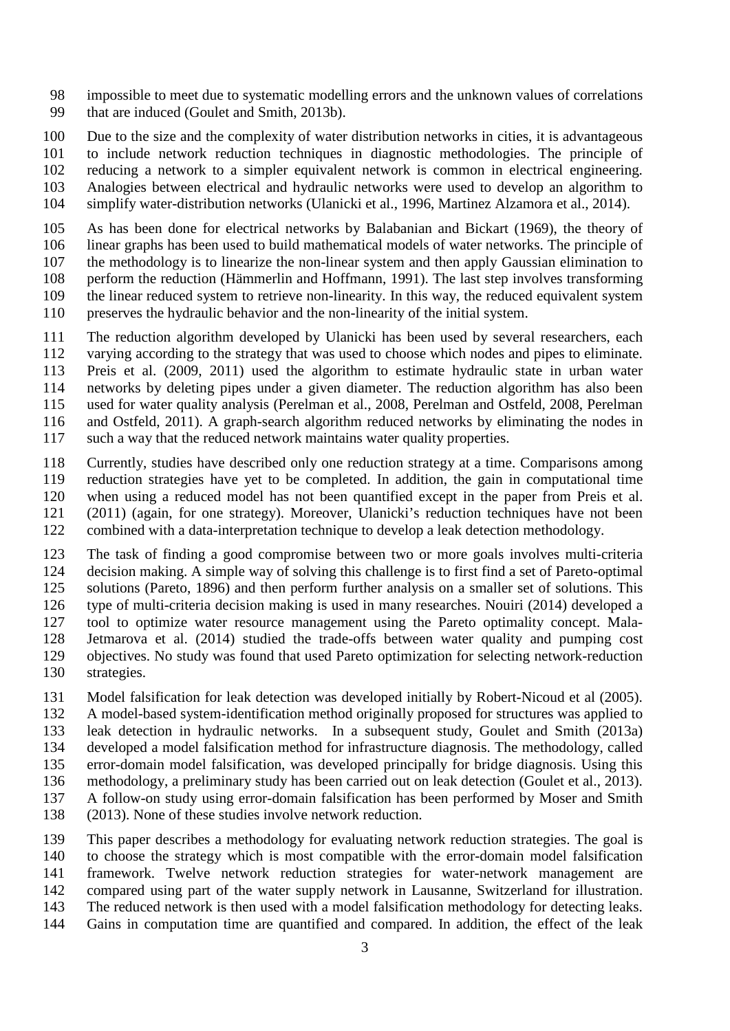impossible to meet due to systematic modelling errors and the unknown values of correlations that are induced [\(Goulet and Smith, 2013b\)](#page-22-7).

Due to the size and the complexity of water distribution networks in cities, it is advantageous

 to include network reduction techniques in diagnostic methodologies. The principle of reducing a network to a simpler equivalent network is common in electrical engineering. Analogies between electrical and hydraulic networks were used to develop an algorithm to

simplify water-distribution networks [\(Ulanicki et al., 1996,](#page-24-7) [Martinez Alzamora et al., 2014\)](#page-22-8).

 As has been done for electrical networks by Balabanian and Bickart [\(1969\)](#page-21-7), the theory of linear graphs has been used to build mathematical models of water networks. The principle of the methodology is to linearize the non-linear system and then apply Gaussian elimination to perform the reduction [\(Hämmerlin and Hoffmann, 1991\)](#page-22-9). The last step involves transforming the linear reduced system to retrieve non-linearity. In this way, the reduced equivalent system preserves the hydraulic behavior and the non-linearity of the initial system.

The reduction algorithm developed by Ulanicki has been used by several researchers, each

- varying according to the strategy that was used to choose which nodes and pipes to eliminate.
- Preis et al. [\(2009,](#page-23-7) [2011\)](#page-23-8) used the algorithm to estimate hydraulic state in urban water
- networks by deleting pipes under a given diameter. The reduction algorithm has also been

used for water quality analysis [\(Perelman et al., 2008,](#page-23-9) [Perelman and Ostfeld, 2008,](#page-23-10) [Perelman](#page-23-11) 

- [and Ostfeld, 2011\)](#page-23-11). A graph-search algorithm reduced networks by eliminating the nodes in such a way that the reduced network maintains water quality properties.
- Currently, studies have described only one reduction strategy at a time. Comparisons among reduction strategies have yet to be completed. In addition, the gain in computational time when using a reduced model has not been quantified except in the paper from Preis et al. [\(2011\)](#page-23-8) (again, for one strategy). Moreover, Ulanicki's reduction techniques have not been
- combined with a data-interpretation technique to develop a leak detection methodology.
- The task of finding a good compromise between two or more goals involves multi-criteria
- decision making. A simple way of solving this challenge is to first find a set of Pareto-optimal solutions [\(Pareto, 1896\)](#page-23-12) and then perform further analysis on a smaller set of solutions. This
- type of multi-criteria decision making is used in many researches. Nouiri [\(2014\)](#page-22-10) developed a
- tool to optimize water resource management using the Pareto optimality concept. Mala-
- Jetmarova et al. [\(2014\)](#page-22-11) studied the trade-offs between water quality and pumping cost
- objectives. No study was found that used Pareto optimization for selecting network-reduction
- strategies.
- Model falsification for leak detection was developed initially by Robert-Nicoud et al [\(2005\)](#page-23-13).
- A model-based system-identification method originally proposed for structures was applied to
- leak detection in hydraulic networks. In a subsequent study, Goulet and Smith [\(2013a\)](#page-22-12)
- developed a model falsification method for infrastructure diagnosis. The methodology, called
- error-domain model falsification, was developed principally for bridge diagnosis. Using this methodology, a preliminary study has been carried out on leak detection [\(Goulet et al., 2013\)](#page-22-13).
- A follow-on study using error-domain falsification has been performed by Moser and Smith
- [\(2013\)](#page-22-14). None of these studies involve network reduction.
- This paper describes a methodology for evaluating network reduction strategies. The goal is to choose the strategy which is most compatible with the error-domain model falsification framework. Twelve network reduction strategies for water-network management are compared using part of the water supply network in Lausanne, Switzerland for illustration. The reduced network is then used with a model falsification methodology for detecting leaks. Gains in computation time are quantified and compared. In addition, the effect of the leak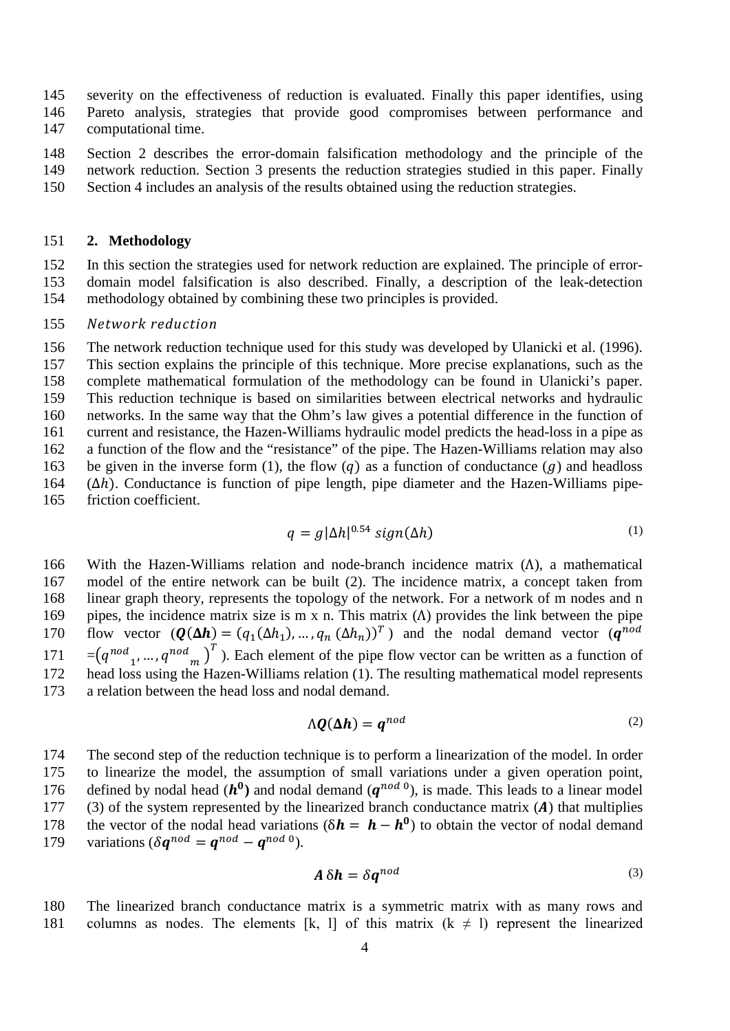145 severity on the effectiveness of reduction is evaluated. Finally this paper identifies, using 146 Pareto analysis, strategies that provide good compromises between performance and

- 147 computational time.
- 148 Section [2](#page-3-0) describes the error-domain falsification methodology and the principle of the 149 network reduction. Section [3](#page-7-0) presents the reduction strategies studied in this paper. Finally
- <span id="page-3-0"></span>150 Section [4](#page-12-0) includes an analysis of the results obtained using the reduction strategies.

## 151 **2. Methodology**

152 In this section the strategies used for network reduction are explained. The principle of error-153 domain model falsification is also described. Finally, a description of the leak-detection 154 methodology obtained by combining these two principles is provided.

#### 155 *Network reduction*

 The network reduction technique used for this study was developed by Ulanicki et al. [\(1996\)](#page-24-7). This section explains the principle of this technique. More precise explanations, such as the complete mathematical formulation of the methodology can be found in Ulanicki's paper. This reduction technique is based on similarities between electrical networks and hydraulic networks. In the same way that the Ohm's law gives a potential difference in the function of current and resistance, the Hazen-Williams hydraulic model predicts the head-loss in a pipe as a function of the flow and the "resistance" of the pipe. The Hazen-Williams relation may also 163 be given in the inverse form (1), the flow (q) as a function of conductance (g) and headloss ( $\Delta h$ ). Conductance is function of pipe length, pipe diameter and the Hazen-Williams pipe-164 ( $Δh$ ). Conductance is function of pipe length, pipe diameter and the Hazen-Williams pipe-<br>165 friction coefficient. friction coefficient.

$$
q = g|\Delta h|^{0.54} \operatorname{sign}(\Delta h) \tag{1}
$$

166 With the Hazen-Williams relation and node-branch incidence matrix ( $Λ$ ), a mathematical model of the entire network can be built (2). The incidence matrix, a concept taken from model of the entire network can be built (2). The incidence matrix, a concept taken from 168 linear graph theory, represents the topology of the network. For a network of m nodes and n 169 pipes, the incidence matrix size is m x n. This matrix (Λ) provides the link between the pipe flow vector  $(\mathbf{Q}(\Delta \mathbf{h}) = (q_1(\Delta h_1), ..., q_n(\Delta h_n))^T)$  and the nodal demand vector  $(\mathbf{q}^{nod})$ flow vector  $(Q(\Delta h) = (q_1(\Delta h_1), ..., q_n(\Delta h_n))^T)$  and the nodal demand vector  $(q^{nod})$ 171 =  $(q^{nod}_{1}, ..., q^{nod}_{m})^T$ ). Each element of the pipe flow vector can be written as a function of 172 head loss using the Hazen-Williams relation (1). The resulting mathematical model represents 173 a relation between the head loss and nodal demand.

$$
\Lambda \mathbf{Q}(\Delta \mathbf{h}) = \mathbf{q}^{nod} \tag{2}
$$

174 The second step of the reduction technique is to perform a linearization of the model. In order 175 to linearize the model, the assumption of small variations under a given operation point, defined by nodal head  $(h^0)$  and nodal demand  $(q^{nod}^0)$ , is made. This leads to a linear model (3) of the system represented by the linearized branch conductance matrix (A) that multiplies 177 (3) of the system represented by the linearized branch conductance matrix (A) that multiplies<br>178 the vector of the nodal head variations  $(\delta \mathbf{h} = \mathbf{h} - \mathbf{h}^0)$  to obtain the vector of nodal demand the vector of the nodal head variations ( $\delta \mathbf{h} = \mathbf{h} - \mathbf{h}^0$ ) to obtain the vector of nodal demand variations ( $\delta \mathbf{a}^{nod} = \mathbf{a}^{nod} - \mathbf{a}^{nod}$ ). variations ( $\delta \mathbf{q}^{nod} = \mathbf{q}^{nod} - \mathbf{q}^{nod}$ <sup>0</sup>).

$$
A \,\delta h = \delta q^{nod} \tag{3}
$$

180 The linearized branch conductance matrix is a symmetric matrix with as many rows and 181 columns as nodes. The elements [k, l] of this matrix  $(k \neq 1)$  represent the linearized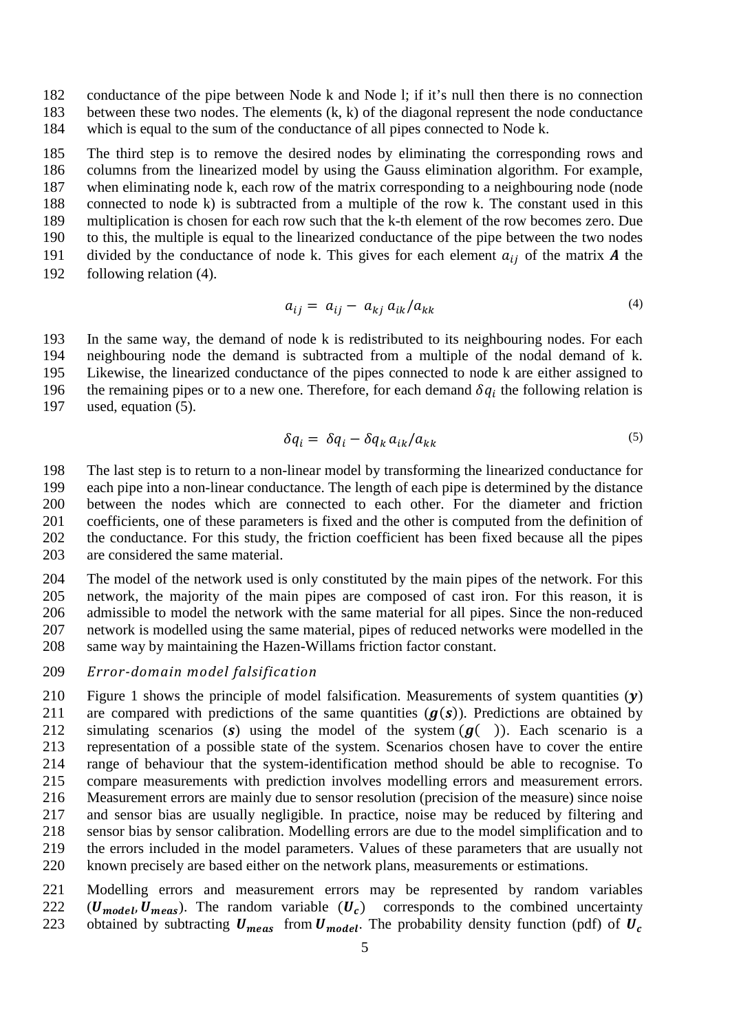conductance of the pipe between Node k and Node l; if it's null then there is no connection between these two nodes. The elements (k, k) of the diagonal represent the node conductance which is equal to the sum of the conductance of all pipes connected to Node k.

 The third step is to remove the desired nodes by eliminating the corresponding rows and columns from the linearized model by using the Gauss elimination algorithm. For example, when eliminating node k, each row of the matrix corresponding to a neighbouring node (node connected to node k) is subtracted from a multiple of the row k. The constant used in this multiplication is chosen for each row such that the k-th element of the row becomes zero. Due to this, the multiple is equal to the linearized conductance of the pipe between the two nodes 191 divided by the conductance of node k. This gives for each element  $a_{ij}$  of the matrix **A** the 192 following relation (4). following relation  $(4)$ .

$$
a_{ij} = a_{ij} - a_{kj} a_{ik}/a_{kk} \tag{4}
$$

 In the same way, the demand of node k is redistributed to its neighbouring nodes. For each neighbouring node the demand is subtracted from a multiple of the nodal demand of k. Likewise, the linearized conductance of the pipes connected to node k are either assigned to the remaining pipes or to a new one. Therefore, for each demand  $\delta q_i$  the following relation is used, equation (5). used, equation  $(5)$ .

$$
\delta q_i = \delta q_i - \delta q_k a_{ik} / a_{kk} \tag{5}
$$

 The last step is to return to a non-linear model by transforming the linearized conductance for each pipe into a non-linear conductance. The length of each pipe is determined by the distance between the nodes which are connected to each other. For the diameter and friction coefficients, one of these parameters is fixed and the other is computed from the definition of the conductance. For this study, the friction coefficient has been fixed because all the pipes are considered the same material.

 The model of the network used is only constituted by the main pipes of the network. For this network, the majority of the main pipes are composed of cast iron. For this reason, it is admissible to model the network with the same material for all pipes. Since the non-reduced network is modelled using the same material, pipes of reduced networks were modelled in the same way by maintaining the Hazen-Willams friction factor constant.

## *Error-domain model falsification*

[Figure 1](#page-5-0) shows the principle of model falsification. Measurements of system quantities  $(y)$ <br>211 are compared with predictions of the same quantities  $(q(s))$ . Predictions are obtained by 211 are compared with predictions of the same quantities  $(g(s))$ . Predictions are obtained by simulating scenarios (s) using the model of the system  $(g())$ . Each scenario is a 212 simulating scenarios (s) using the model of the system  $(g($ )). Each scenario is a representation of a possible state of the system. Scenarios chosen have to cover the entire representation of a possible state of the system. Scenarios chosen have to cover the entire range of behaviour that the system-identification method should be able to recognise. To compare measurements with prediction involves modelling errors and measurement errors. Measurement errors are mainly due to sensor resolution (precision of the measure) since noise and sensor bias are usually negligible. In practice, noise may be reduced by filtering and sensor bias by sensor calibration. Modelling errors are due to the model simplification and to the errors included in the model parameters. Values of these parameters that are usually not known precisely are based either on the network plans, measurements or estimations.

 Modelling errors and measurement errors may be represented by random variables 222 ( $U_{model}$ ,  $U_{meas}$ ). The random variable ( $U_c$ ) corresponds to the combined uncertainty obtained by subtracting  $U_{meas}$  from  $U_{model}$ . The probability density function (pdf) of  $U_c$ obtained by subtracting  $U_{meas}$  from  $U_{model}$ . The probability density function (pdf) of  $U_c$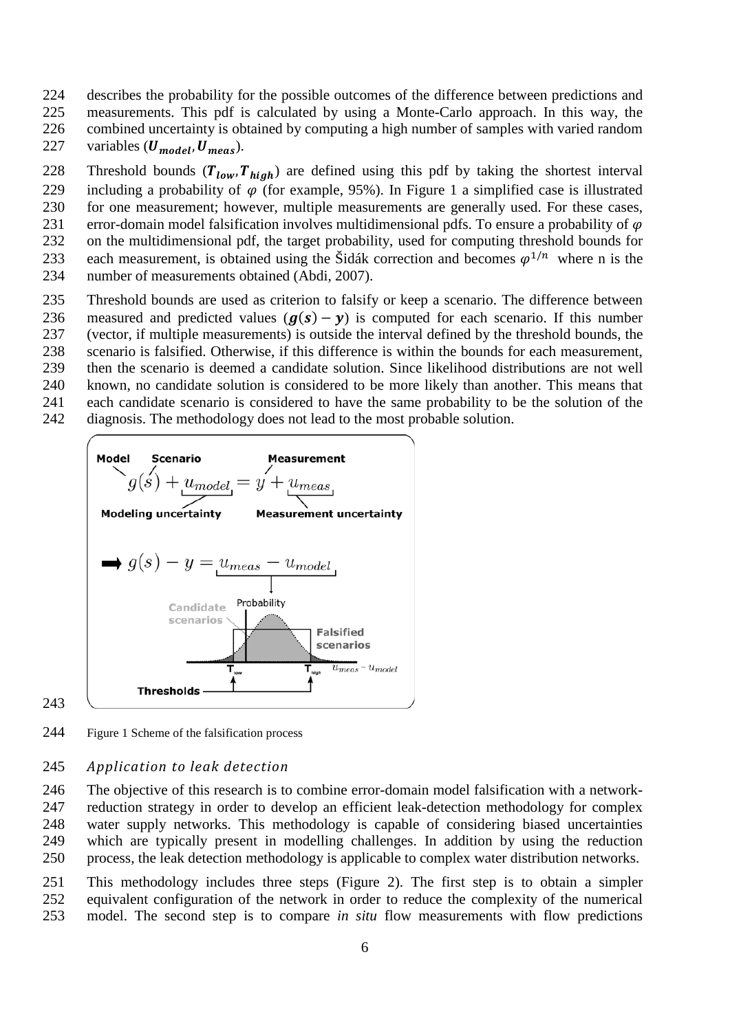- describes the probability for the possible outcomes of the difference between predictions and
- measurements. This pdf is calculated by using a Monte-Carlo approach. In this way, the
- combined uncertainty is obtained by computing a high number of samples with varied random
- 227 variables  $(U_{model}, U_{meas})$ .
- 228 Threshold bounds  $(T_{low}, T_{high})$  are defined using this pdf by taking the shortest interval<br>229 including a probability of  $\varphi$  (for example, 95%). In Figure 1 a simplified case is illustrated
- 229 including a probability of  $\varphi$  (for example, 95%). In [Figure 1](#page-5-0) a simplified case is illustrated for one measurement; however, multiple measurements are generally used. For these cases, for one measurement; however, multiple measurements are generally used. For these cases,
- 
- 231 error-domain model falsification involves multidimensional pdfs. To ensure a probability of  $\varphi$ <br>232 on the multidimensional pdf, the target probability, used for computing threshold bounds for on the multidimensional pdf, the target probability, used for computing threshold bounds for
- each measurement, is obtained using the Šidák correction and becomes  $\varphi^{1/n}$  where n is the number of measurements obtained (Abdi, 2007).
- number of measurements obtained [\(Abdi, 2007\)](#page-21-8).
- Threshold bounds are used as criterion to falsify or keep a scenario. The difference between
- 236 measured and predicted values  $(g(s) y)$  is computed for each scenario. If this number (vector, if multiple measurements) is outside the interval defined by the threshold bounds, the (vector, if multiple measurements) is outside the interval defined by the threshold bounds, the
- scenario is falsified. Otherwise, if this difference is within the bounds for each measurement,
- then the scenario is deemed a candidate solution. Since likelihood distributions are not well
- known, no candidate solution is considered to be more likely than another. This means that
- each candidate scenario is considered to have the same probability to be the solution of the
- diagnosis. The methodology does not lead to the most probable solution.



#### 

<span id="page-5-0"></span>Figure 1 Scheme of the falsification process

## *Application to leak detection*

 The objective of this research is to combine error-domain model falsification with a network- reduction strategy in order to develop an efficient leak-detection methodology for complex water supply networks. This methodology is capable of considering biased uncertainties which are typically present in modelling challenges. In addition by using the reduction process, the leak detection methodology is applicable to complex water distribution networks.

 This methodology includes three steps [\(Figure 2\)](#page-7-1). The first step is to obtain a simpler equivalent configuration of the network in order to reduce the complexity of the numerical model. The second step is to compare *in situ* flow measurements with flow predictions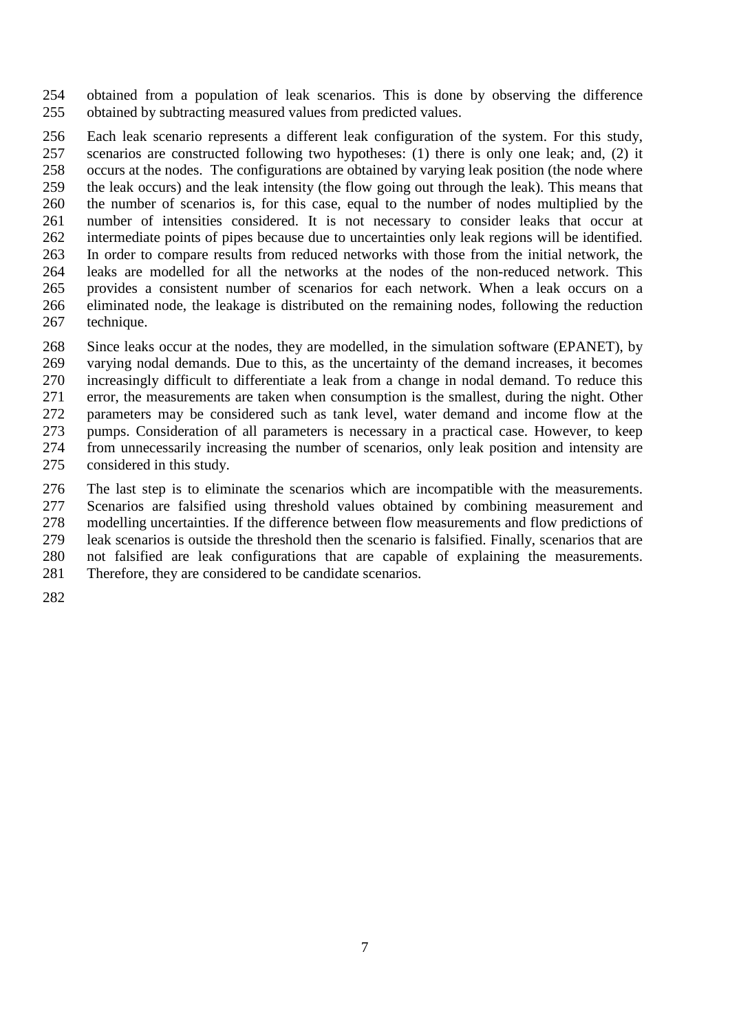obtained from a population of leak scenarios. This is done by observing the difference obtained by subtracting measured values from predicted values.

 Each leak scenario represents a different leak configuration of the system. For this study, scenarios are constructed following two hypotheses: (1) there is only one leak; and, (2) it occurs at the nodes. The configurations are obtained by varying leak position (the node where the leak occurs) and the leak intensity (the flow going out through the leak). This means that the number of scenarios is, for this case, equal to the number of nodes multiplied by the number of intensities considered. It is not necessary to consider leaks that occur at intermediate points of pipes because due to uncertainties only leak regions will be identified. In order to compare results from reduced networks with those from the initial network, the leaks are modelled for all the networks at the nodes of the non-reduced network. This provides a consistent number of scenarios for each network. When a leak occurs on a eliminated node, the leakage is distributed on the remaining nodes, following the reduction technique.

- Since leaks occur at the nodes, they are modelled, in the simulation software (EPANET), by varying nodal demands. Due to this, as the uncertainty of the demand increases, it becomes increasingly difficult to differentiate a leak from a change in nodal demand. To reduce this error, the measurements are taken when consumption is the smallest, during the night. Other parameters may be considered such as tank level, water demand and income flow at the pumps. Consideration of all parameters is necessary in a practical case. However, to keep from unnecessarily increasing the number of scenarios, only leak position and intensity are considered in this study.
- The last step is to eliminate the scenarios which are incompatible with the measurements. Scenarios are falsified using threshold values obtained by combining measurement and modelling uncertainties. If the difference between flow measurements and flow predictions of leak scenarios is outside the threshold then the scenario is falsified. Finally, scenarios that are not falsified are leak configurations that are capable of explaining the measurements. Therefore, they are considered to be candidate scenarios.
-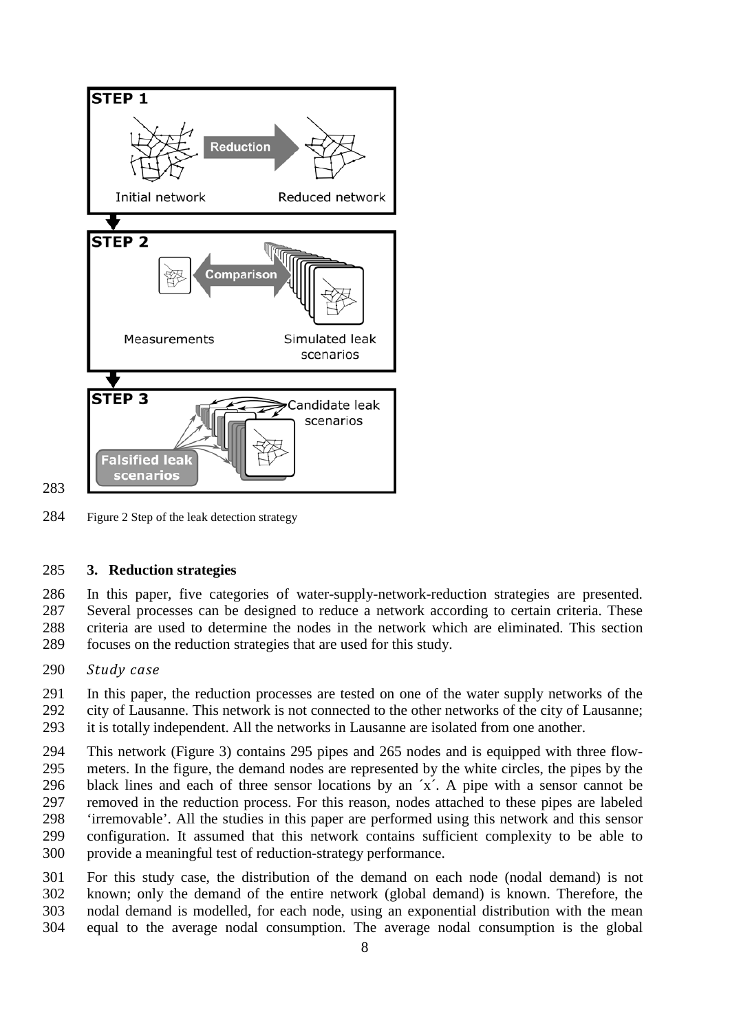

<span id="page-7-1"></span>Figure 2 Step of the leak detection strategy

## <span id="page-7-0"></span>**3. Reduction strategies**

 In this paper, five categories of water-supply-network-reduction strategies are presented. Several processes can be designed to reduce a network according to certain criteria. These criteria are used to determine the nodes in the network which are eliminated. This section focuses on the reduction strategies that are used for this study.

*Study case*

 In this paper, the reduction processes are tested on one of the water supply networks of the city of Lausanne. This network is not connected to the other networks of the city of Lausanne; it is totally independent. All the networks in Lausanne are isolated from one another.

 This network [\(Figure 3\)](#page-8-0) contains 295 pipes and 265 nodes and is equipped with three flow- meters. In the figure, the demand nodes are represented by the white circles, the pipes by the 296 black lines and each of three sensor locations by an  $x^2$ . A pipe with a sensor cannot be removed in the reduction process. For this reason, nodes attached to these pipes are labeled 'irremovable'. All the studies in this paper are performed using this network and this sensor configuration. It assumed that this network contains sufficient complexity to be able to provide a meaningful test of reduction-strategy performance.

 For this study case, the distribution of the demand on each node (nodal demand) is not known; only the demand of the entire network (global demand) is known. Therefore, the nodal demand is modelled, for each node, using an exponential distribution with the mean equal to the average nodal consumption. The average nodal consumption is the global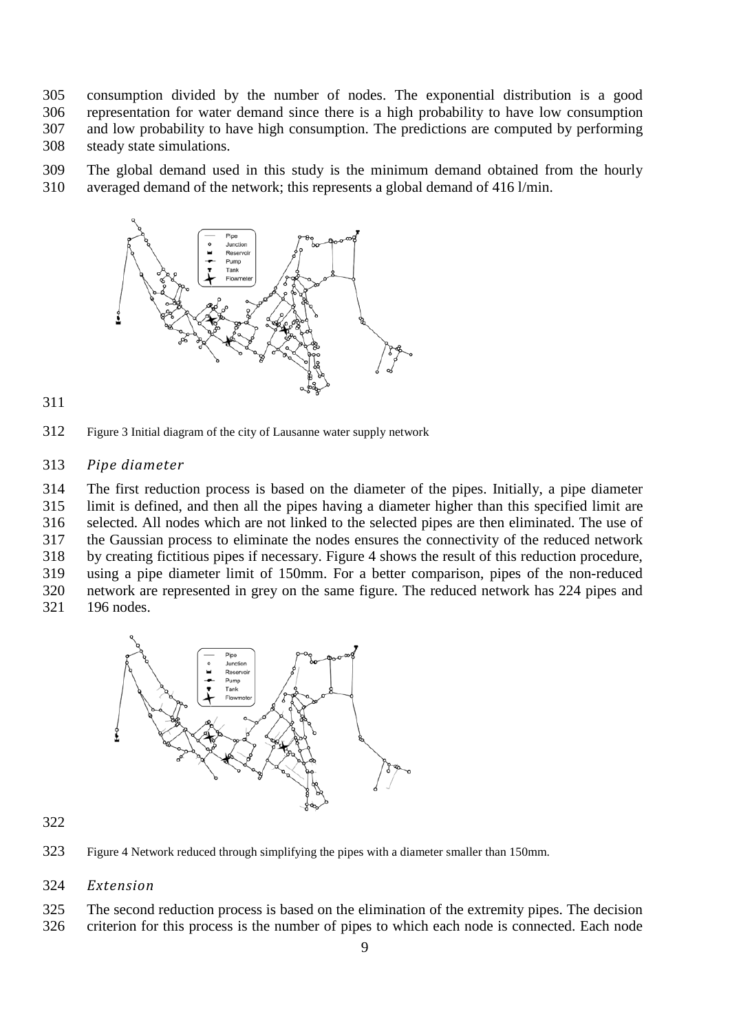consumption divided by the number of nodes. The exponential distribution is a good representation for water demand since there is a high probability to have low consumption and low probability to have high consumption. The predictions are computed by performing steady state simulations.

The global demand used in this study is the minimum demand obtained from the hourly

averaged demand of the network; this represents a global demand of 416 l/min.



<span id="page-8-0"></span>Figure 3 Initial diagram of the city of Lausanne water supply network

#### *Pipe diameter*

 The first reduction process is based on the diameter of the pipes. Initially, a pipe diameter limit is defined, and then all the pipes having a diameter higher than this specified limit are selected. All nodes which are not linked to the selected pipes are then eliminated. The use of the Gaussian process to eliminate the nodes ensures the connectivity of the reduced network by creating fictitious pipes if necessary. [Figure 4](#page-8-1) shows the result of this reduction procedure, using a pipe diameter limit of 150mm. For a better comparison, pipes of the non-reduced network are represented in grey on the same figure. The reduced network has 224 pipes and

196 nodes.



#### 

<span id="page-8-1"></span>Figure 4 Network reduced through simplifying the pipes with a diameter smaller than 150mm.

## *Extension*

The second reduction process is based on the elimination of the extremity pipes. The decision

criterion for this process is the number of pipes to which each node is connected. Each node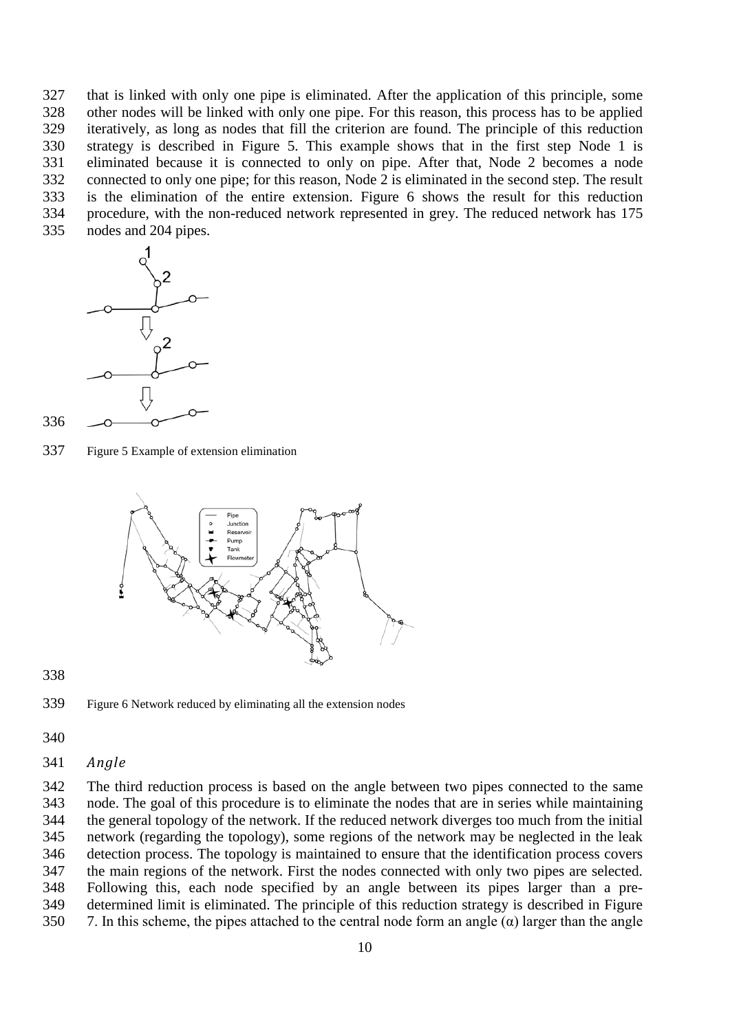that is linked with only one pipe is eliminated. After the application of this principle, some other nodes will be linked with only one pipe. For this reason, this process has to be applied iteratively, as long as nodes that fill the criterion are found. The principle of this reduction strategy is described in [Figure 5.](#page-9-0) This example shows that in the first step Node 1 is eliminated because it is connected to only on pipe. After that, Node 2 becomes a node connected to only one pipe; for this reason, Node 2 is eliminated in the second step. The result is the elimination of the entire extension. [Figure 6](#page-9-1) shows the result for this reduction procedure, with the non-reduced network represented in grey. The reduced network has 175 nodes and 204 pipes.



<span id="page-9-0"></span>Figure 5 Example of extension elimination



<span id="page-9-1"></span>



- 
- *Angle*

 The third reduction process is based on the angle between two pipes connected to the same node. The goal of this procedure is to eliminate the nodes that are in series while maintaining the general topology of the network. If the reduced network diverges too much from the initial network (regarding the topology), some regions of the network may be neglected in the leak detection process. The topology is maintained to ensure that the identification process covers the main regions of the network. First the nodes connected with only two pipes are selected. Following this, each node specified by an angle between its pipes larger than a pre- determined limit is eliminated. The principle of this reduction strategy is described in [Figure](#page-10-0)  [7](#page-10-0). In this scheme, the pipes attached to the central node form an angle  $(\alpha)$  larger than the angle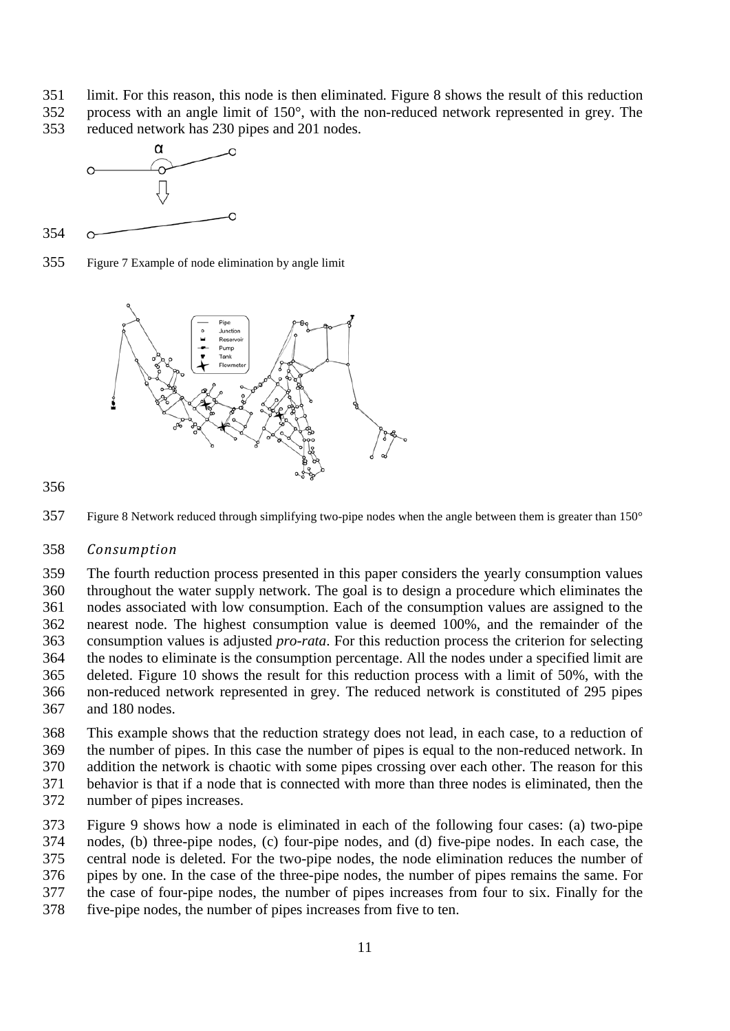- limit. For this reason, this node is then eliminated. [Figure 8](#page-10-1) shows the result of this reduction
- process with an angle limit of 150°, with the non-reduced network represented in grey. The
- reduced network has 230 pipes and 201 nodes.



<span id="page-10-0"></span>Figure 7 Example of node elimination by angle limit



<span id="page-10-1"></span>



## *Consumption*

 The fourth reduction process presented in this paper considers the yearly consumption values throughout the water supply network. The goal is to design a procedure which eliminates the nodes associated with low consumption. Each of the consumption values are assigned to the nearest node. The highest consumption value is deemed 100%, and the remainder of the consumption values is adjusted *pro-rata*. For this reduction process the criterion for selecting the nodes to eliminate is the consumption percentage. All the nodes under a specified limit are deleted. [Figure 10](#page-11-0) shows the result for this reduction process with a limit of 50%, with the non-reduced network represented in grey. The reduced network is constituted of 295 pipes and 180 nodes.

 This example shows that the reduction strategy does not lead, in each case, to a reduction of the number of pipes. In this case the number of pipes is equal to the non-reduced network. In addition the network is chaotic with some pipes crossing over each other. The reason for this behavior is that if a node that is connected with more than three nodes is eliminated, then the

number of pipes increases.

 [Figure 9](#page-11-1) shows how a node is eliminated in each of the following four cases: (a) two-pipe nodes, (b) three-pipe nodes, (c) four-pipe nodes, and (d) five-pipe nodes. In each case, the central node is deleted. For the two-pipe nodes, the node elimination reduces the number of pipes by one. In the case of the three-pipe nodes, the number of pipes remains the same. For the case of four-pipe nodes, the number of pipes increases from four to six. Finally for the five-pipe nodes, the number of pipes increases from five to ten.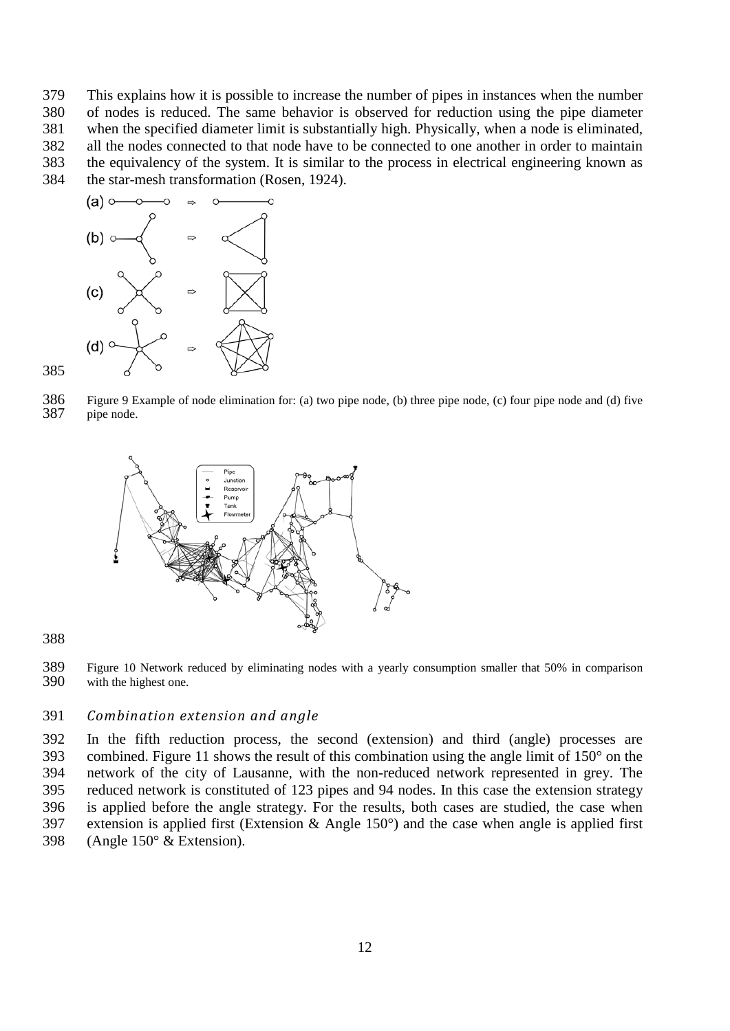This explains how it is possible to increase the number of pipes in instances when the number of nodes is reduced. The same behavior is observed for reduction using the pipe diameter when the specified diameter limit is substantially high. Physically, when a node is eliminated, all the nodes connected to that node have to be connected to one another in order to maintain the equivalency of the system. It is similar to the process in electrical engineering known as the star-mesh transformation [\(Rosen, 1924\)](#page-23-14).



<span id="page-11-1"></span> Figure 9 Example of node elimination for: (a) two pipe node, (b) three pipe node, (c) four pipe node and (d) five pipe node.



<span id="page-11-0"></span>



## *Combination extension and angle*

 In the fifth reduction process, the second (extension) and third (angle) processes are combined. [Figure 11](#page-12-1) shows the result of this combination using the angle limit of 150° on the network of the city of Lausanne, with the non-reduced network represented in grey. The reduced network is constituted of 123 pipes and 94 nodes. In this case the extension strategy is applied before the angle strategy. For the results, both cases are studied, the case when extension is applied first (Extension & Angle 150°) and the case when angle is applied first (Angle 150° & Extension).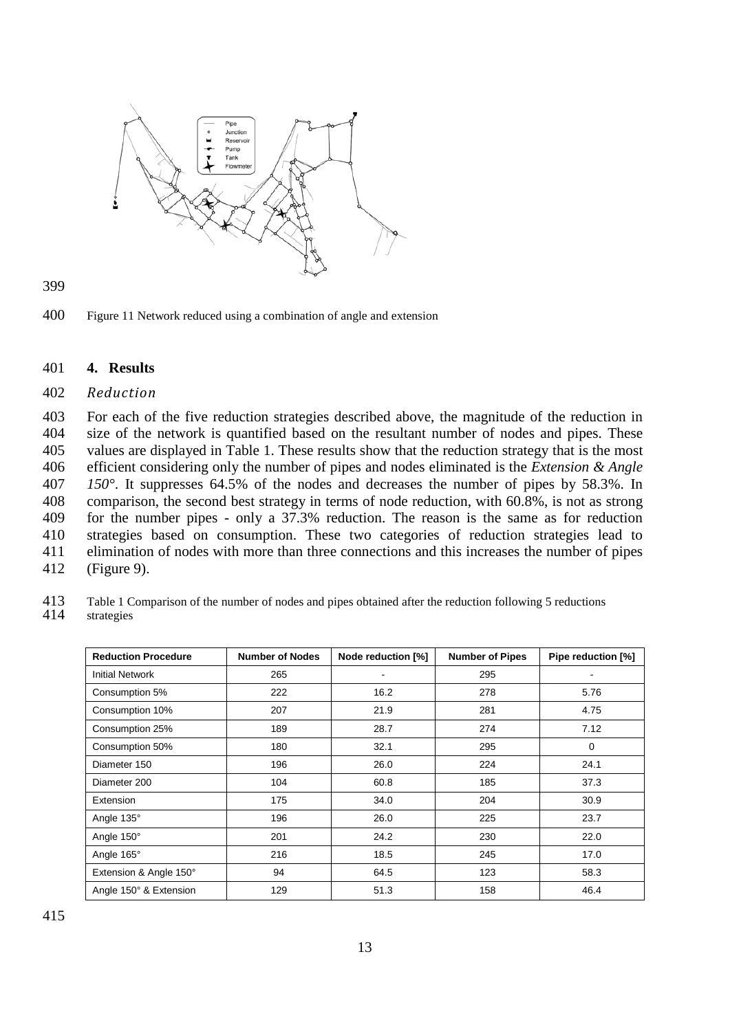



<span id="page-12-1"></span>400 Figure 11 Network reduced using a combination of angle and extension

## <span id="page-12-0"></span>401 **4. Results**

#### 402 *Reduction*

 For each of the five reduction strategies described above, the magnitude of the reduction in size of the network is quantified based on the resultant number of nodes and pipes. These values are displayed in [Table 1.](#page-12-2) These results show that the reduction strategy that is the most efficient considering only the number of pipes and nodes eliminated is the *Extension & Angle 150°*. It suppresses 64.5% of the nodes and decreases the number of pipes by 58.3%. In comparison, the second best strategy in terms of node reduction, with 60.8%, is not as strong for the number pipes - only a 37.3% reduction. The reason is the same as for reduction strategies based on consumption. These two categories of reduction strategies lead to elimination of nodes with more than three connections and this increases the number of pipes [\(Figure 9\)](#page-11-1).

<span id="page-12-2"></span>413 Table 1 Comparison of the number of nodes and pipes obtained after the reduction following 5 reductions strategies

| <b>Reduction Procedure</b> | <b>Number of Nodes</b> | Node reduction [%] | <b>Number of Pipes</b> | Pipe reduction [%] |
|----------------------------|------------------------|--------------------|------------------------|--------------------|
| <b>Initial Network</b>     | 265                    |                    | 295                    |                    |
| Consumption 5%             | 222                    | 16.2               | 278                    | 5.76               |
| Consumption 10%            | 207                    | 21.9               | 281                    | 4.75               |
| Consumption 25%            | 189                    | 28.7               | 274                    | 7.12               |
| Consumption 50%            | 180                    | 32.1               | 295                    | 0                  |
| Diameter 150               | 196                    | 26.0               | 224                    | 24.1               |
| Diameter 200               | 104                    | 60.8               | 185                    | 37.3               |
| Extension                  | 175                    | 34.0               | 204                    | 30.9               |
| Angle 135°                 | 196                    | 26.0               | 225                    | 23.7               |
| Angle 150°                 | 201                    | 24.2               | 230                    | 22.0               |
| Angle 165°                 | 216                    | 18.5               | 245                    | 17.0               |
| Extension & Angle 150°     | 94                     | 64.5               | 123                    | 58.3               |
| Angle 150° & Extension     | 129                    | 51.3               | 158                    | 46.4               |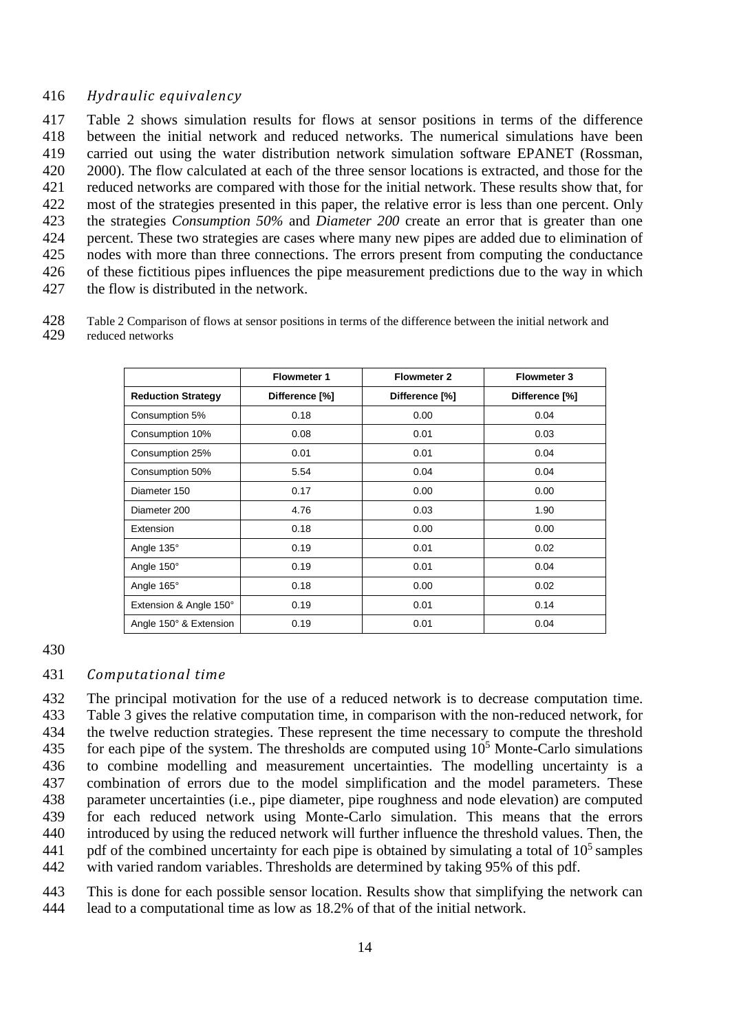## *Hydraulic equivalency*

 [Table 2](#page-13-0) shows simulation results for flows at sensor positions in terms of the difference between the initial network and reduced networks. The numerical simulations have been carried out using the water distribution network simulation software EPANET [\(Rossman,](#page-23-15)  [2000\)](#page-23-15). The flow calculated at each of the three sensor locations is extracted, and those for the reduced networks are compared with those for the initial network. These results show that, for most of the strategies presented in this paper, the relative error is less than one percent. Only the strategies *Consumption 50%* and *Diameter 200* create an error that is greater than one percent. These two strategies are cases where many new pipes are added due to elimination of nodes with more than three connections. The errors present from computing the conductance of these fictitious pipes influences the pipe measurement predictions due to the way in which the flow is distributed in the network.

<span id="page-13-0"></span> Table 2 Comparison of flows at sensor positions in terms of the difference between the initial network and reduced networks

|                           | <b>Flowmeter 1</b> | <b>Flowmeter 2</b> | <b>Flowmeter 3</b> |
|---------------------------|--------------------|--------------------|--------------------|
| <b>Reduction Strategy</b> | Difference [%]     | Difference [%]     | Difference [%]     |
| Consumption 5%            | 0.18               | 0.00               | 0.04               |
| Consumption 10%           | 0.08               | 0.01               | 0.03               |
| Consumption 25%           | 0.01               | 0.01               | 0.04               |
| Consumption 50%           | 5.54               | 0.04               | 0.04               |
| Diameter 150              | 0.17               | 0.00               | 0.00               |
| Diameter 200              | 4.76               | 0.03               | 1.90               |
| Extension                 | 0.18               | 0.00               | 0.00               |
| Angle 135°                | 0.19               | 0.01               | 0.02               |
| Angle 150°                | 0.19               | 0.01               | 0.04               |
| Angle 165°                | 0.18               | 0.00               | 0.02               |
| Extension & Angle 150°    | 0.19               | 0.01               | 0.14               |
| Angle 150° & Extension    | 0.19               | 0.01               | 0.04               |

## *Computational time*

 The principal motivation for the use of a reduced network is to decrease computation time. [Table 3](#page-14-0) gives the relative computation time, in comparison with the non-reduced network, for the twelve reduction strategies. These represent the time necessary to compute the threshold 435 for each pipe of the system. The thresholds are computed using  $10<sup>5</sup>$  Monte-Carlo simulations to combine modelling and measurement uncertainties. The modelling uncertainty is a combination of errors due to the model simplification and the model parameters. These parameter uncertainties (i.e., pipe diameter, pipe roughness and node elevation) are computed for each reduced network using Monte-Carlo simulation. This means that the errors introduced by using the reduced network will further influence the threshold values. Then, the 441 pdf of the combined uncertainty for each pipe is obtained by simulating a total of  $10<sup>5</sup>$  samples with varied random variables. Thresholds are determined by taking 95% of this pdf.

 This is done for each possible sensor location. Results show that simplifying the network can lead to a computational time as low as 18.2% of that of the initial network.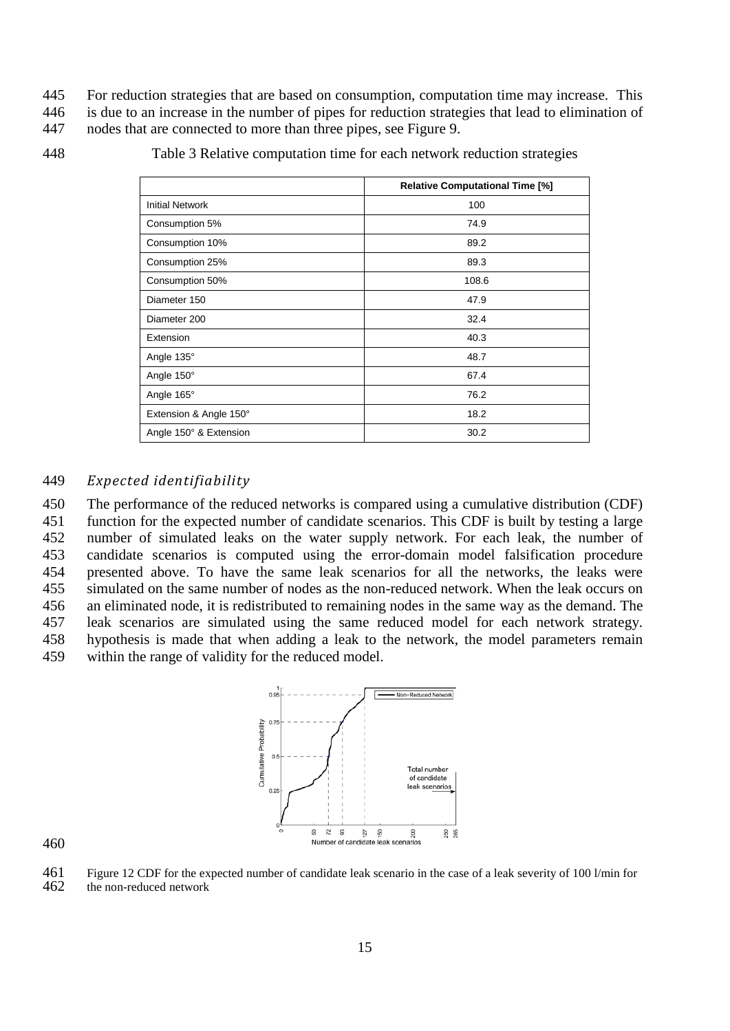445 For reduction strategies that are based on consumption, computation time may increase. This

446 is due to an increase in the number of pipes for reduction strategies that lead to elimination of

447 nodes that are connected to more than three pipes, see [Figure 9.](#page-11-1)

<span id="page-14-0"></span>448 Table 3 Relative computation time for each network reduction strategies

|                        | <b>Relative Computational Time [%]</b> |
|------------------------|----------------------------------------|
| <b>Initial Network</b> | 100                                    |
| Consumption 5%         | 74.9                                   |
| Consumption 10%        | 89.2                                   |
| Consumption 25%        | 89.3                                   |
| Consumption 50%        | 108.6                                  |
| Diameter 150           | 47.9                                   |
| Diameter 200           | 32.4                                   |
| Extension              | 40.3                                   |
| Angle 135°             | 48.7                                   |
| Angle 150°             | 67.4                                   |
| Angle 165°             | 76.2                                   |
| Extension & Angle 150° | 18.2                                   |
| Angle 150° & Extension | 30.2                                   |

## 449 *Expected identifiability*

 The performance of the reduced networks is compared using a cumulative distribution (CDF) function for the expected number of candidate scenarios. This CDF is built by testing a large number of simulated leaks on the water supply network. For each leak, the number of candidate scenarios is computed using the error-domain model falsification procedure presented above. To have the same leak scenarios for all the networks, the leaks were simulated on the same number of nodes as the non-reduced network. When the leak occurs on an eliminated node, it is redistributed to remaining nodes in the same way as the demand. The leak scenarios are simulated using the same reduced model for each network strategy. hypothesis is made that when adding a leak to the network, the model parameters remain within the range of validity for the reduced model.



460

<span id="page-14-1"></span>461 Figure 12 CDF for the expected number of candidate leak scenario in the case of a leak severity of 100 l/min for the non-reduced network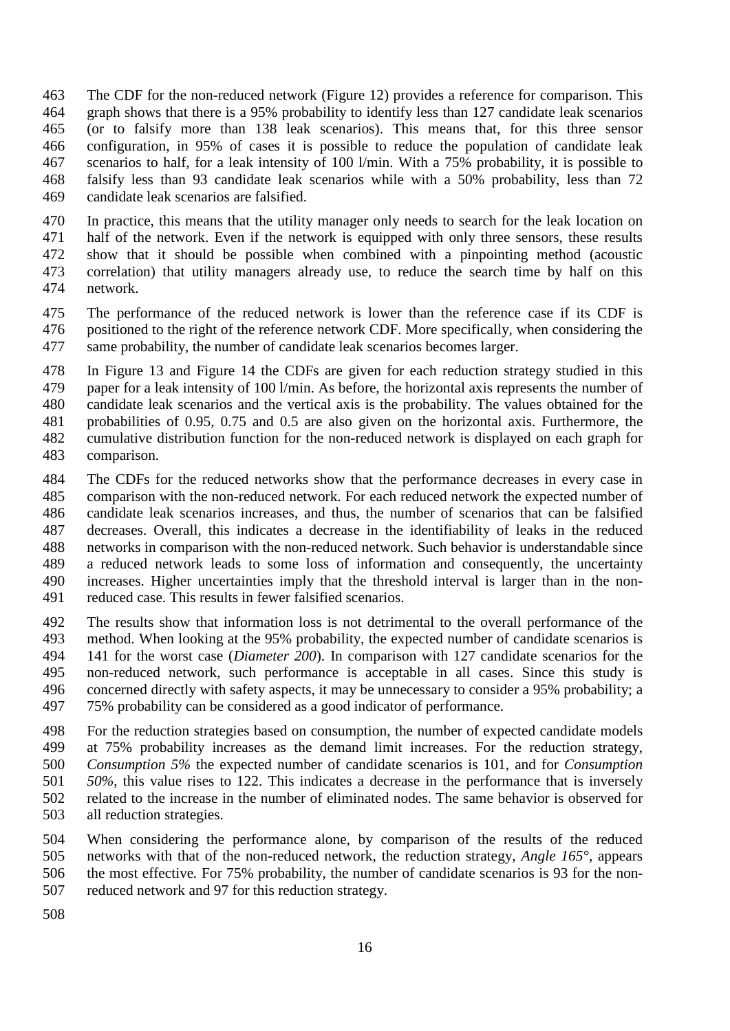- The CDF for the non-reduced network [\(Figure 12\)](#page-14-1) provides a reference for comparison. This graph shows that there is a 95% probability to identify less than 127 candidate leak scenarios (or to falsify more than 138 leak scenarios). This means that, for this three sensor configuration, in 95% of cases it is possible to reduce the population of candidate leak scenarios to half, for a leak intensity of 100 l/min. With a 75% probability, it is possible to falsify less than 93 candidate leak scenarios while with a 50% probability, less than 72 candidate leak scenarios are falsified.
- In practice, this means that the utility manager only needs to search for the leak location on half of the network. Even if the network is equipped with only three sensors, these results show that it should be possible when combined with a pinpointing method (acoustic correlation) that utility managers already use, to reduce the search time by half on this network.
- The performance of the reduced network is lower than the reference case if its CDF is positioned to the right of the reference network CDF. More specifically, when considering the same probability, the number of candidate leak scenarios becomes larger.
- In [Figure 13](#page-16-0) and [Figure 14](#page-17-0) the CDFs are given for each reduction strategy studied in this paper for a leak intensity of 100 l/min. As before, the horizontal axis represents the number of candidate leak scenarios and the vertical axis is the probability. The values obtained for the probabilities of 0.95, 0.75 and 0.5 are also given on the horizontal axis. Furthermore, the cumulative distribution function for the non-reduced network is displayed on each graph for comparison.
- The CDFs for the reduced networks show that the performance decreases in every case in comparison with the non-reduced network. For each reduced network the expected number of candidate leak scenarios increases, and thus, the number of scenarios that can be falsified decreases. Overall, this indicates a decrease in the identifiability of leaks in the reduced networks in comparison with the non-reduced network. Such behavior is understandable since a reduced network leads to some loss of information and consequently, the uncertainty increases. Higher uncertainties imply that the threshold interval is larger than in the non-reduced case. This results in fewer falsified scenarios.
- The results show that information loss is not detrimental to the overall performance of the method. When looking at the 95% probability, the expected number of candidate scenarios is 141 for the worst case (*Diameter 200*). In comparison with 127 candidate scenarios for the non-reduced network, such performance is acceptable in all cases. Since this study is concerned directly with safety aspects, it may be unnecessary to consider a 95% probability; a 75% probability can be considered as a good indicator of performance.
- For the reduction strategies based on consumption, the number of expected candidate models at 75% probability increases as the demand limit increases. For the reduction strategy, *Consumption 5%* the expected number of candidate scenarios is 101, and for *Consumption 50%*, this value rises to 122. This indicates a decrease in the performance that is inversely related to the increase in the number of eliminated nodes. The same behavior is observed for all reduction strategies.
- When considering the performance alone, by comparison of the results of the reduced networks with that of the non-reduced network, the reduction strategy, *Angle 165°*, appears the most effective*.* For 75% probability, the number of candidate scenarios is 93 for the non-reduced network and 97 for this reduction strategy.
-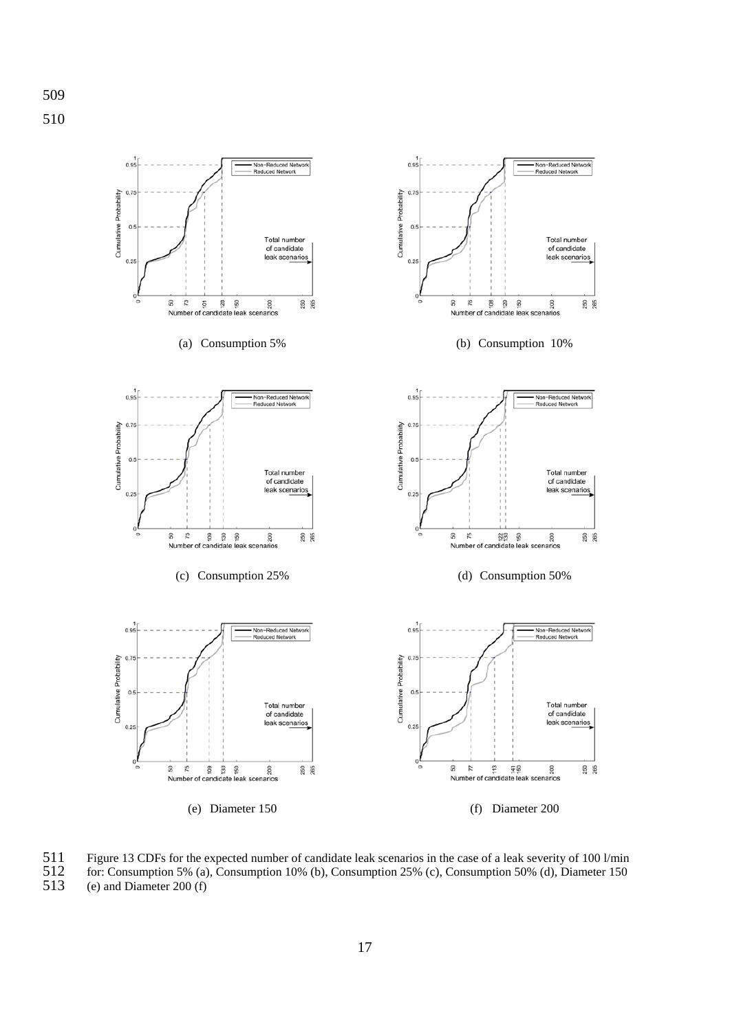



<span id="page-16-0"></span>511 Figure 13 CDFs for the expected number of candidate leak scenarios in the case of a leak severity of 100 l/min<br>512 for: Consumption 5% (a), Consumption 10% (b), Consumption 25% (c), Consumption 50% (d), Diameter 150 512 for: Consumption 5% (a), Consumption 10% (b), Consumption 25% (c), Consumption 50% (d), Diameter 150 (e) and Diameter 200 (f)  $(e)$  and Diameter 200 (f)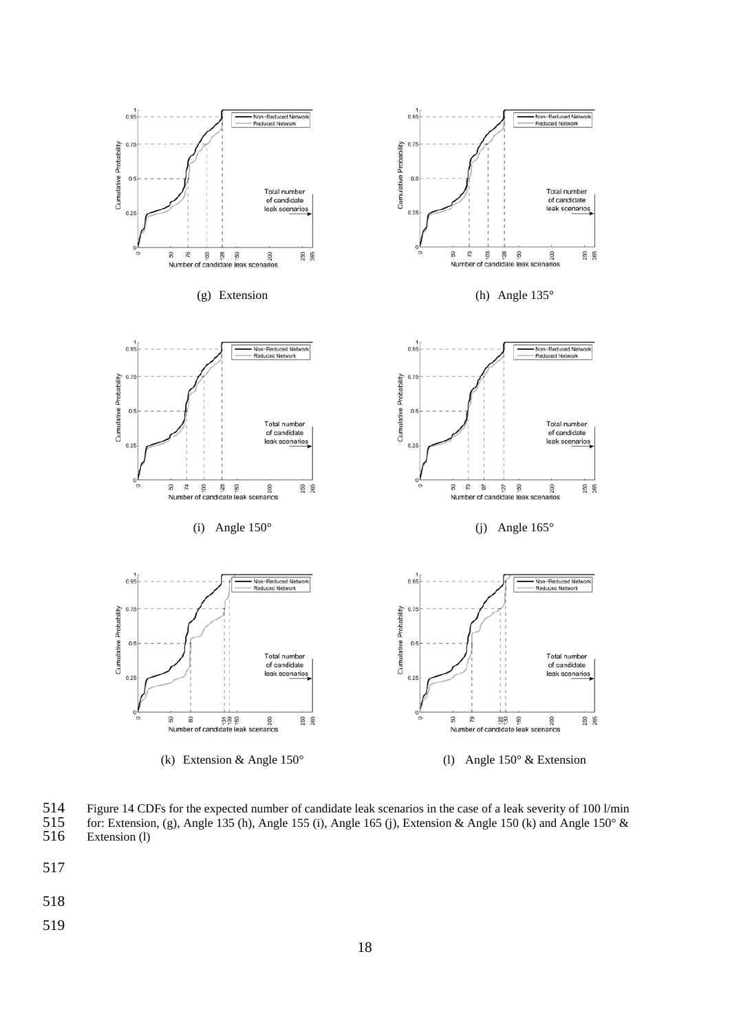

<span id="page-17-0"></span>514 Figure 14 CDFs for the expected number of candidate leak scenarios in the case of a leak severity of 100 l/min for: Extension, (g), Angle 135 (h), Angle 155 (i), Angle 165 (j), Extension & Angle 150 (k) and Angle 150 515 for: Extension, (g), Angle 135 (h), Angle 155 (i), Angle 165 (j), Extension & Angle 150 (k) and Angle 150° & Extension (l) Extension (l)

- 
- 517
- 518
- 519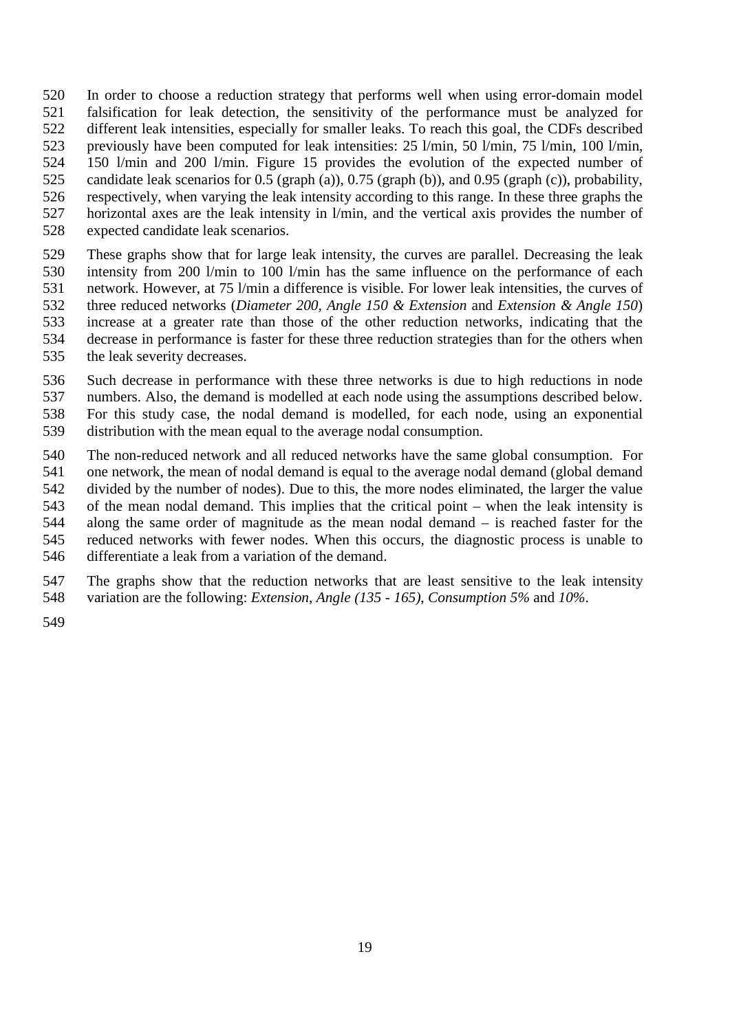In order to choose a reduction strategy that performs well when using error-domain model falsification for leak detection, the sensitivity of the performance must be analyzed for different leak intensities, especially for smaller leaks. To reach this goal, the CDFs described previously have been computed for leak intensities: 25 l/min, 50 l/min, 75 l/min, 100 l/min, 150 l/min and 200 l/min. [Figure 15](#page-19-0) provides the evolution of the expected number of candidate leak scenarios for 0.5 (graph (a)), 0.75 (graph (b)), and 0.95 (graph (c)), probability, respectively, when varying the leak intensity according to this range. In these three graphs the horizontal axes are the leak intensity in l/min, and the vertical axis provides the number of expected candidate leak scenarios.

 These graphs show that for large leak intensity, the curves are parallel. Decreasing the leak intensity from 200 l/min to 100 l/min has the same influence on the performance of each network. However, at 75 l/min a difference is visible. For lower leak intensities, the curves of three reduced networks (*Diameter 200*, *Angle 150 & Extension* and *Extension & Angle 150*) increase at a greater rate than those of the other reduction networks, indicating that the decrease in performance is faster for these three reduction strategies than for the others when the leak severity decreases.

- Such decrease in performance with these three networks is due to high reductions in node
- numbers. Also, the demand is modelled at each node using the assumptions described below.
- For this study case, the nodal demand is modelled, for each node, using an exponential
- distribution with the mean equal to the average nodal consumption.

 The non-reduced network and all reduced networks have the same global consumption. For one network, the mean of nodal demand is equal to the average nodal demand (global demand divided by the number of nodes). Due to this, the more nodes eliminated, the larger the value of the mean nodal demand. This implies that the critical point – when the leak intensity is along the same order of magnitude as the mean nodal demand – is reached faster for the reduced networks with fewer nodes. When this occurs, the diagnostic process is unable to differentiate a leak from a variation of the demand.

- The graphs show that the reduction networks that are least sensitive to the leak intensity variation are the following: *Extension*, *Angle (135 - 165)*, *Consumption 5%* and *10%*.
-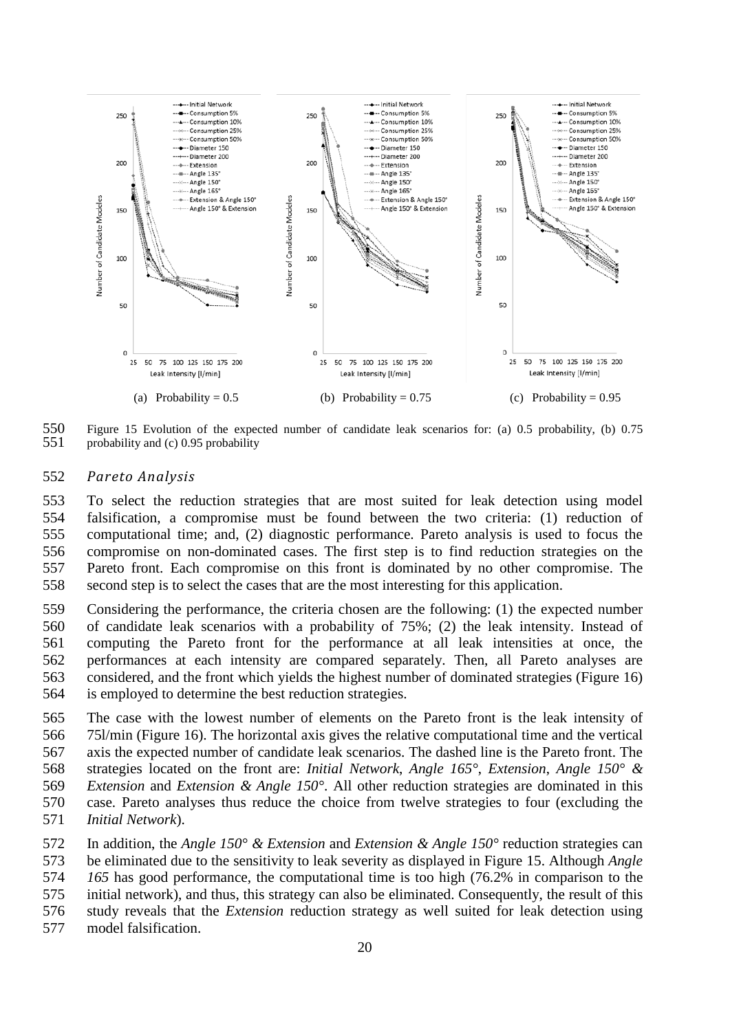

<span id="page-19-0"></span> Figure 15 Evolution of the expected number of candidate leak scenarios for: (a) 0.5 probability, (b) 0.75 probability and  $(c)$  0.95 probability

#### *Pareto Analysis*

 To select the reduction strategies that are most suited for leak detection using model falsification, a compromise must be found between the two criteria: (1) reduction of computational time; and, (2) diagnostic performance. Pareto analysis is used to focus the compromise on non-dominated cases. The first step is to find reduction strategies on the Pareto front. Each compromise on this front is dominated by no other compromise. The second step is to select the cases that are the most interesting for this application.

 Considering the performance, the criteria chosen are the following: (1) the expected number of candidate leak scenarios with a probability of 75%; (2) the leak intensity. Instead of computing the Pareto front for the performance at all leak intensities at once, the performances at each intensity are compared separately. Then, all Pareto analyses are considered, and the front which yields the highest number of dominated strategies [\(Figure 16\)](#page-20-0) is employed to determine the best reduction strategies.

- The case with the lowest number of elements on the Pareto front is the leak intensity of 75l/min [\(Figure 16\)](#page-20-0). The horizontal axis gives the relative computational time and the vertical axis the expected number of candidate leak scenarios. The dashed line is the Pareto front. The strategies located on the front are: *Initial Network*, *Angle 165°*, *Extension*, *Angle 150° & Extension* and *Extension & Angle 150°*. All other reduction strategies are dominated in this case. Pareto analyses thus reduce the choice from twelve strategies to four (excluding the *Initial Network*).
- In addition, the *Angle 150° & Extension* and *Extension & Angle 150°* reduction strategies can be eliminated due to the sensitivity to leak severity as displayed in [Figure 15.](#page-19-0) Although *Angle 165* has good performance, the computational time is too high (76.2% in comparison to the initial network), and thus, this strategy can also be eliminated. Consequently, the result of this study reveals that the *Extension* reduction strategy as well suited for leak detection using model falsification.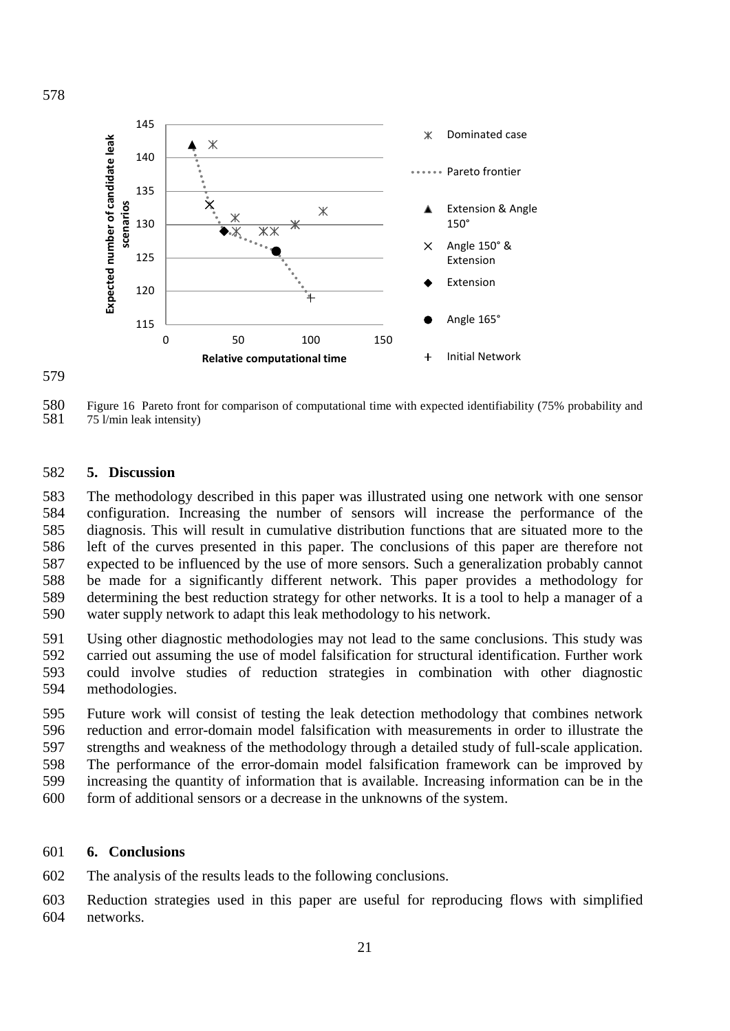

<span id="page-20-0"></span>580 Figure 16 Pareto front for comparison of computational time with expected identifiability (75% probability and 581 75 l/min leak intensity) 75 l/min leak intensity)

## **5. Discussion**

 The methodology described in this paper was illustrated using one network with one sensor configuration. Increasing the number of sensors will increase the performance of the diagnosis. This will result in cumulative distribution functions that are situated more to the left of the curves presented in this paper. The conclusions of this paper are therefore not expected to be influenced by the use of more sensors. Such a generalization probably cannot be made for a significantly different network. This paper provides a methodology for determining the best reduction strategy for other networks. It is a tool to help a manager of a water supply network to adapt this leak methodology to his network.

 Using other diagnostic methodologies may not lead to the same conclusions. This study was carried out assuming the use of model falsification for structural identification. Further work could involve studies of reduction strategies in combination with other diagnostic methodologies.

 Future work will consist of testing the leak detection methodology that combines network reduction and error-domain model falsification with measurements in order to illustrate the strengths and weakness of the methodology through a detailed study of full-scale application. The performance of the error-domain model falsification framework can be improved by increasing the quantity of information that is available. Increasing information can be in the form of additional sensors or a decrease in the unknowns of the system.

## **6. Conclusions**

The analysis of the results leads to the following conclusions.

 Reduction strategies used in this paper are useful for reproducing flows with simplified networks.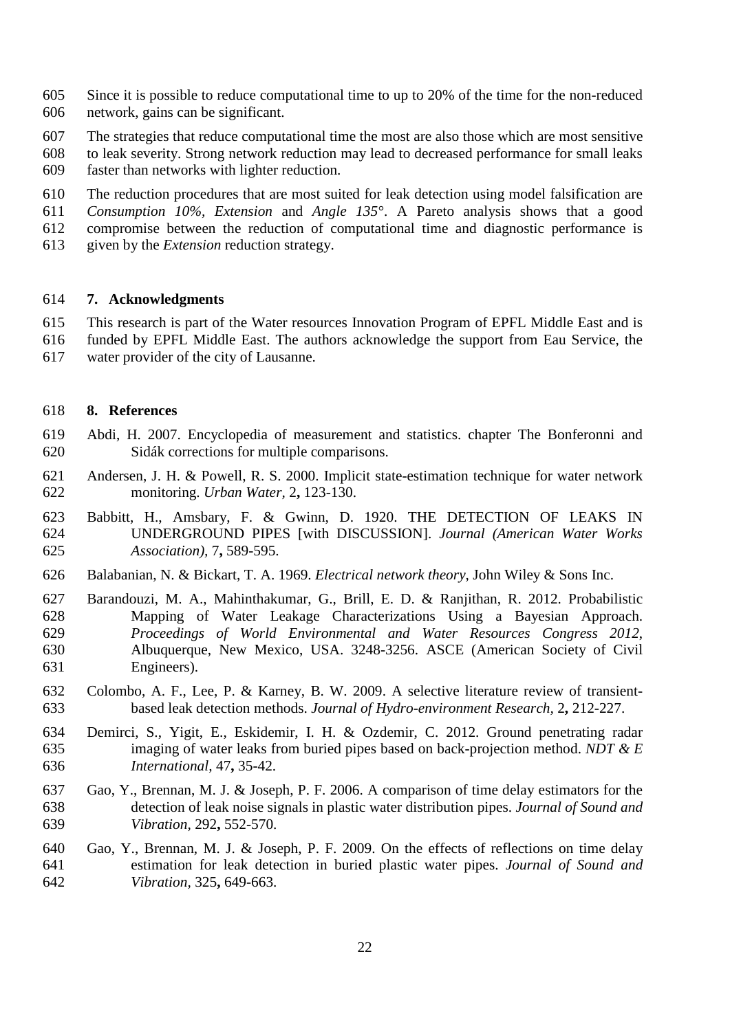- Since it is possible to reduce computational time to up to 20% of the time for the non-reduced network, gains can be significant.
- The strategies that reduce computational time the most are also those which are most sensitive
- to leak severity. Strong network reduction may lead to decreased performance for small leaks
- faster than networks with lighter reduction.
- The reduction procedures that are most suited for leak detection using model falsification are
- *Consumption 10%, Extension* and *Angle 135°*. A Pareto analysis shows that a good
- compromise between the reduction of computational time and diagnostic performance is
- given by the *Extension* reduction strategy.

## **7. Acknowledgments**

- This research is part of the Water resources Innovation Program of EPFL Middle East and is
- funded by EPFL Middle East. The authors acknowledge the support from Eau Service, the
- water provider of the city of Lausanne.

## **8. References**

- <span id="page-21-8"></span> Abdi, H. 2007. Encyclopedia of measurement and statistics. chapter The Bonferonni and Sidák corrections for multiple comparisons.
- <span id="page-21-5"></span> Andersen, J. H. & Powell, R. S. 2000. Implicit state-estimation technique for water network monitoring. *Urban Water,* 2**,** 123-130.
- <span id="page-21-0"></span> Babbitt, H., Amsbary, F. & Gwinn, D. 1920. THE DETECTION OF LEAKS IN UNDERGROUND PIPES [with DISCUSSION]. *Journal (American Water Works Association),* 7**,** 589-595.
- <span id="page-21-7"></span>Balabanian, N. & Bickart, T. A. 1969. *Electrical network theory*, John Wiley & Sons Inc.
- <span id="page-21-6"></span> Barandouzi, M. A., Mahinthakumar, G., Brill, E. D. & Ranjithan, R. 2012. Probabilistic Mapping of Water Leakage Characterizations Using a Bayesian Approach. *Proceedings of World Environmental and Water Resources Congress 2012*, Albuquerque, New Mexico, USA. 3248-3256. ASCE (American Society of Civil Engineers).
- <span id="page-21-4"></span> Colombo, A. F., Lee, P. & Karney, B. W. 2009. A selective literature review of transient-based leak detection methods. *Journal of Hydro-environment Research,* 2**,** 212-227.
- <span id="page-21-3"></span> Demirci, S., Yigit, E., Eskidemir, I. H. & Ozdemir, C. 2012. Ground penetrating radar imaging of water leaks from buried pipes based on back-projection method. *NDT & E International,* 47**,** 35-42.
- <span id="page-21-1"></span> Gao, Y., Brennan, M. J. & Joseph, P. F. 2006. A comparison of time delay estimators for the detection of leak noise signals in plastic water distribution pipes. *Journal of Sound and Vibration,* 292**,** 552-570.
- <span id="page-21-2"></span> Gao, Y., Brennan, M. J. & Joseph, P. F. 2009. On the effects of reflections on time delay estimation for leak detection in buried plastic water pipes. *Journal of Sound and Vibration,* 325**,** 649-663.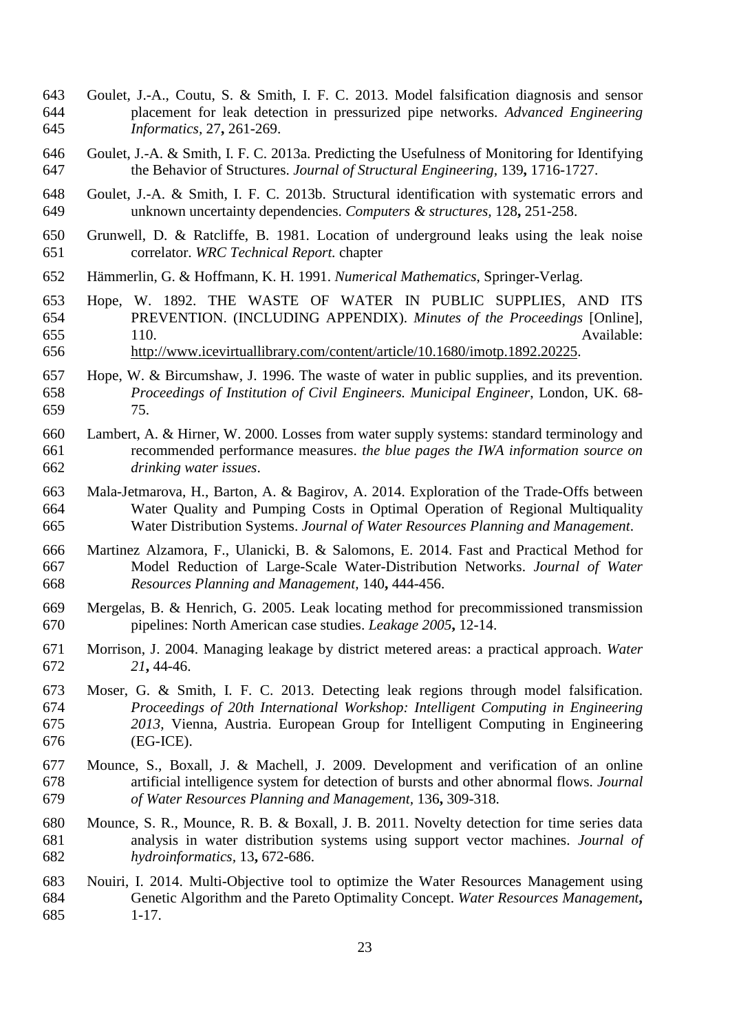- <span id="page-22-13"></span> Goulet, J.-A., Coutu, S. & Smith, I. F. C. 2013. Model falsification diagnosis and sensor placement for leak detection in pressurized pipe networks. *Advanced Engineering Informatics,* 27**,** 261-269.
- <span id="page-22-12"></span> Goulet, J.-A. & Smith, I. F. C. 2013a. Predicting the Usefulness of Monitoring for Identifying the Behavior of Structures. *Journal of Structural Engineering,* 139**,** 1716-1727.
- <span id="page-22-7"></span> Goulet, J.-A. & Smith, I. F. C. 2013b. Structural identification with systematic errors and unknown uncertainty dependencies. *Computers & structures,* 128**,** 251-258.
- <span id="page-22-1"></span> Grunwell, D. & Ratcliffe, B. 1981. Location of underground leaks using the leak noise correlator. *WRC Technical Report.* chapter
- <span id="page-22-9"></span>Hämmerlin, G. & Hoffmann, K. H. 1991. *Numerical Mathematics*, Springer-Verlag.
- <span id="page-22-0"></span> Hope, W. 1892. THE WASTE OF WATER IN PUBLIC SUPPLIES, AND ITS PREVENTION. (INCLUDING APPENDIX). *Minutes of the Proceedings* [Online], 655 110. Available:
- [http://www.icevirtuallibrary.com/content/article/10.1680/imotp.1892.20225.](http://www.icevirtuallibrary.com/content/article/10.1680/imotp.1892.20225)
- Hope, W. & Bircumshaw, J. 1996. The waste of water in public supplies, and its prevention. *Proceedings of Institution of Civil Engineers. Municipal Engineer*, London, UK. 68- 75.
- <span id="page-22-3"></span> Lambert, A. & Hirner, W. 2000. Losses from water supply systems: standard terminology and recommended performance measures. *the blue pages the IWA information source on drinking water issues*.
- <span id="page-22-11"></span> Mala-Jetmarova, H., Barton, A. & Bagirov, A. 2014. Exploration of the Trade-Offs between Water Quality and Pumping Costs in Optimal Operation of Regional Multiquality Water Distribution Systems. *Journal of Water Resources Planning and Management*.
- <span id="page-22-8"></span> Martinez Alzamora, F., Ulanicki, B. & Salomons, E. 2014. Fast and Practical Method for Model Reduction of Large-Scale Water-Distribution Networks. *Journal of Water Resources Planning and Management,* 140**,** 444-456.
- <span id="page-22-2"></span> Mergelas, B. & Henrich, G. 2005. Leak locating method for precommissioned transmission pipelines: North American case studies. *Leakage 2005***,** 12-14.
- <span id="page-22-4"></span> Morrison, J. 2004. Managing leakage by district metered areas: a practical approach. *Water 21***,** 44-46.
- <span id="page-22-14"></span> Moser, G. & Smith, I. F. C. 2013. Detecting leak regions through model falsification. *Proceedings of 20th International Workshop: Intelligent Computing in Engineering 2013*, Vienna, Austria. European Group for Intelligent Computing in Engineering (EG-ICE).
- <span id="page-22-5"></span> Mounce, S., Boxall, J. & Machell, J. 2009. Development and verification of an online artificial intelligence system for detection of bursts and other abnormal flows. *Journal of Water Resources Planning and Management,* 136**,** 309-318.
- <span id="page-22-6"></span> Mounce, S. R., Mounce, R. B. & Boxall, J. B. 2011. Novelty detection for time series data analysis in water distribution systems using support vector machines. *Journal of hydroinformatics,* 13**,** 672-686.
- <span id="page-22-10"></span> Nouiri, I. 2014. Multi-Objective tool to optimize the Water Resources Management using Genetic Algorithm and the Pareto Optimality Concept. *Water Resources Management***,** 1-17.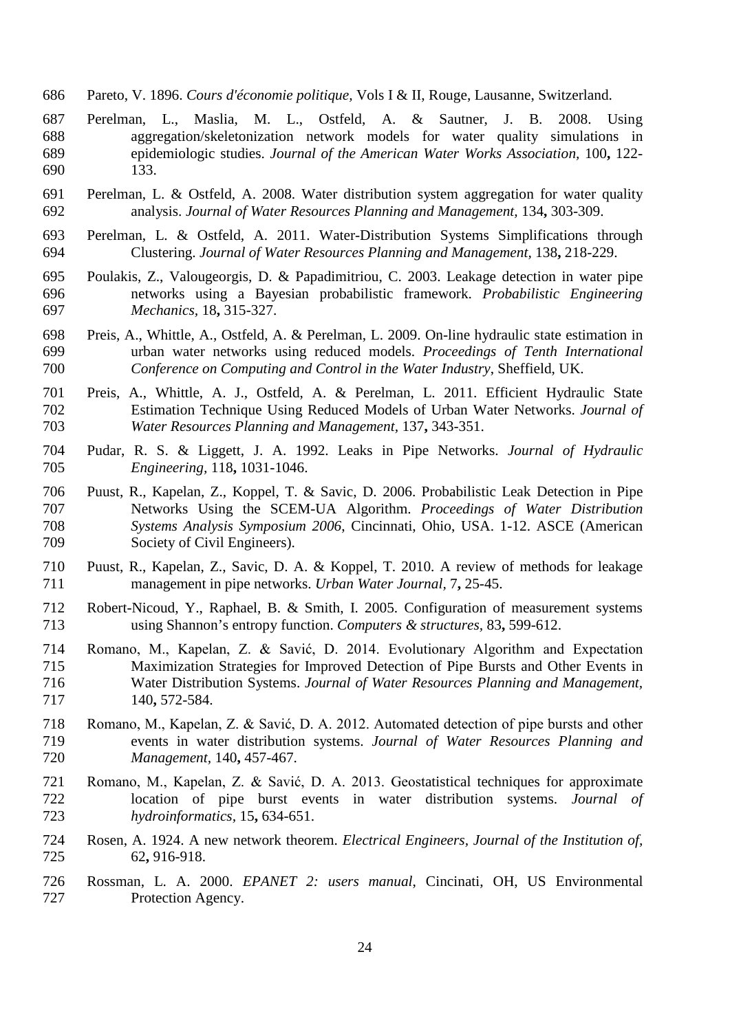- <span id="page-23-12"></span>Pareto, V. 1896. *Cours d'économie politique,* Vols I & II, Rouge, Lausanne, Switzerland.
- <span id="page-23-9"></span> Perelman, L., Maslia, M. L., Ostfeld, A. & Sautner, J. B. 2008. Using aggregation/skeletonization network models for water quality simulations in epidemiologic studies. *Journal of the American Water Works Association,* 100**,** 122- 133.
- <span id="page-23-10"></span> Perelman, L. & Ostfeld, A. 2008. Water distribution system aggregation for water quality analysis. *Journal of Water Resources Planning and Management,* 134**,** 303-309.
- <span id="page-23-11"></span> Perelman, L. & Ostfeld, A. 2011. Water-Distribution Systems Simplifications through Clustering. *Journal of Water Resources Planning and Management,* 138**,** 218-229.
- <span id="page-23-2"></span> Poulakis, Z., Valougeorgis, D. & Papadimitriou, C. 2003. Leakage detection in water pipe networks using a Bayesian probabilistic framework. *Probabilistic Engineering Mechanics,* 18**,** 315-327.
- <span id="page-23-7"></span> Preis, A., Whittle, A., Ostfeld, A. & Perelman, L. 2009. On-line hydraulic state estimation in urban water networks using reduced models. *Proceedings of Tenth International Conference on Computing and Control in the Water Industry*, Sheffield, UK.
- <span id="page-23-8"></span> Preis, A., Whittle, A. J., Ostfeld, A. & Perelman, L. 2011. Efficient Hydraulic State Estimation Technique Using Reduced Models of Urban Water Networks. *Journal of Water Resources Planning and Management,* 137**,** 343-351.
- <span id="page-23-1"></span> Pudar, R. S. & Liggett, J. A. 1992. Leaks in Pipe Networks. *Journal of Hydraulic Engineering,* 118**,** 1031-1046.
- <span id="page-23-3"></span> Puust, R., Kapelan, Z., Koppel, T. & Savic, D. 2006. Probabilistic Leak Detection in Pipe Networks Using the SCEM-UA Algorithm. *Proceedings of Water Distribution Systems Analysis Symposium 2006*, Cincinnati, Ohio, USA. 1-12. ASCE (American Society of Civil Engineers).
- <span id="page-23-0"></span> Puust, R., Kapelan, Z., Savic, D. A. & Koppel, T. 2010. A review of methods for leakage management in pipe networks. *Urban Water Journal,* 7**,** 25-45.
- <span id="page-23-13"></span> Robert-Nicoud, Y., Raphael, B. & Smith, I. 2005. Configuration of measurement systems using Shannon's entropy function. *Computers & structures,* 83**,** 599-612.
- <span id="page-23-6"></span> Romano, M., Kapelan, Z. & Savić, D. 2014. Evolutionary Algorithm and Expectation Maximization Strategies for Improved Detection of Pipe Bursts and Other Events in Water Distribution Systems. *Journal of Water Resources Planning and Management,* 140**,** 572-584.
- <span id="page-23-4"></span> Romano, M., Kapelan, Z. & Savić, D. A. 2012. Automated detection of pipe bursts and other events in water distribution systems. *Journal of Water Resources Planning and Management,* 140**,** 457-467.
- <span id="page-23-5"></span> Romano, M., Kapelan, Z. & Savić, D. A. 2013. Geostatistical techniques for approximate location of pipe burst events in water distribution systems. *Journal of hydroinformatics,* 15**,** 634-651.
- <span id="page-23-14"></span> Rosen, A. 1924. A new network theorem. *Electrical Engineers, Journal of the Institution of,* 62**,** 916-918.
- <span id="page-23-15"></span> Rossman, L. A. 2000. *EPANET 2: users manual*, Cincinati, OH, US Environmental Protection Agency.